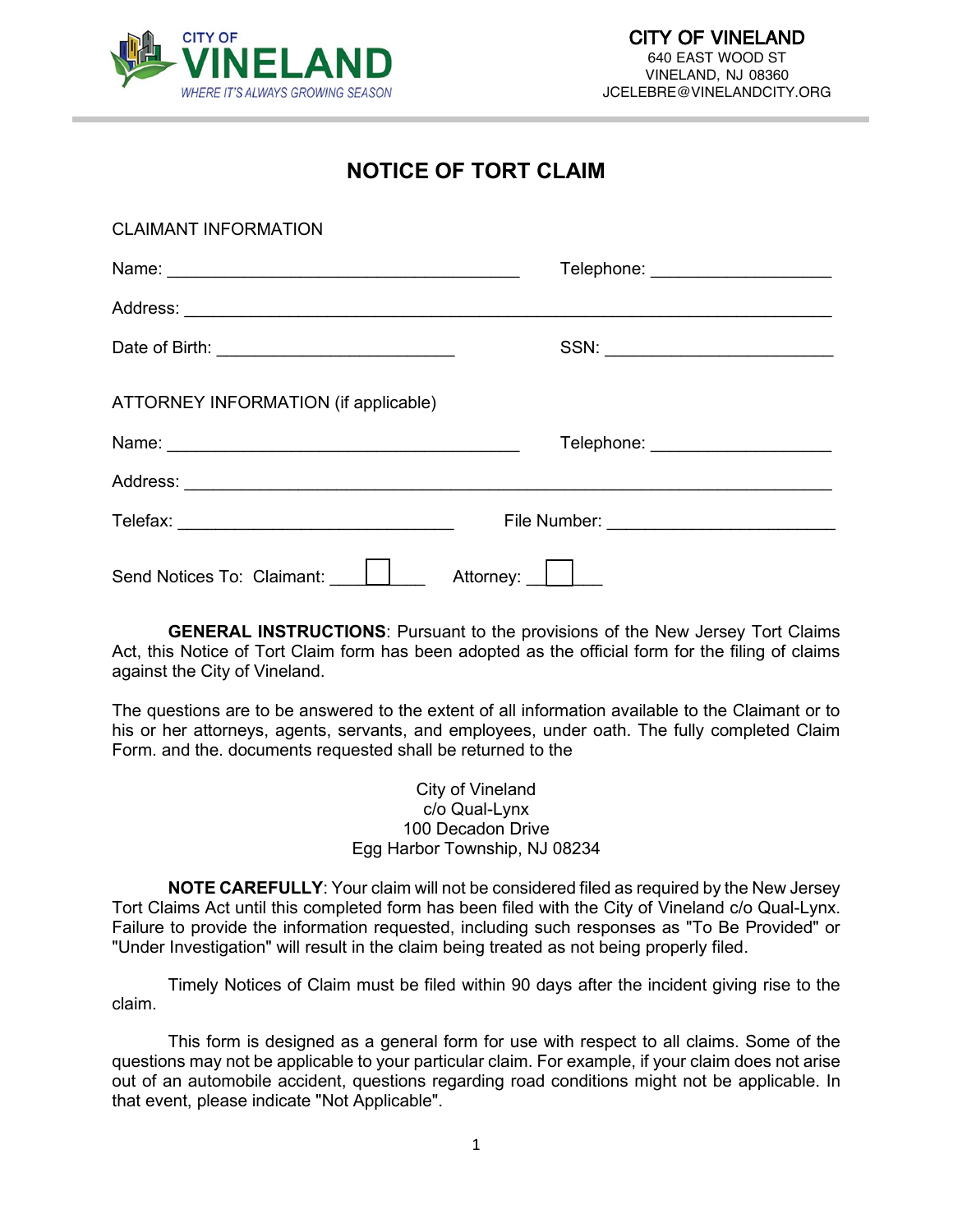

### **NOTICE OF TORT CLAIM**

| <b>CLAIMANT INFORMATION</b>          |                                     |
|--------------------------------------|-------------------------------------|
|                                      | Telephone: _______________________  |
|                                      |                                     |
|                                      |                                     |
| ATTORNEY INFORMATION (if applicable) |                                     |
|                                      | Telephone: ________________________ |
|                                      |                                     |
|                                      |                                     |
| Send Notices To: Claimant:           | Attorney: <u>     </u>              |

**GENERAL INSTRUCTIONS**: Pursuant to the provisions of the New Jersey Tort Claims Act, this Notice of Tort Claim form has been adopted as the official form for the filing of claims against the City of Vineland.

The questions are to be answered to the extent of all information available to the Claimant or to his or her attorneys, agents, servants, and employees, under oath. The fully completed Claim Form. and the. documents requested shall be returned to the

> City of Vineland c/o Qual-Lynx 100 Decadon Drive Egg Harbor Township, NJ 08234

**NOTE CAREFULLY**: Your claim will not be considered filed as required by the New Jersey Tort Claims Act until this completed form has been filed with the City of Vineland c/o Qual-Lynx. Failure to provide the information requested, including such responses as "To Be Provided" or "Under Investigation" will result in the claim being treated as not being properly filed.

Timely Notices of Claim must be filed within 90 days after the incident giving rise to the claim.

This form is designed as a general form for use with respect to all claims. Some of the questions may not be applicable to your particular claim. For example, if your claim does not arise out of an automobile accident, questions regarding road conditions might not be applicable. In that event, please indicate "Not Applicable".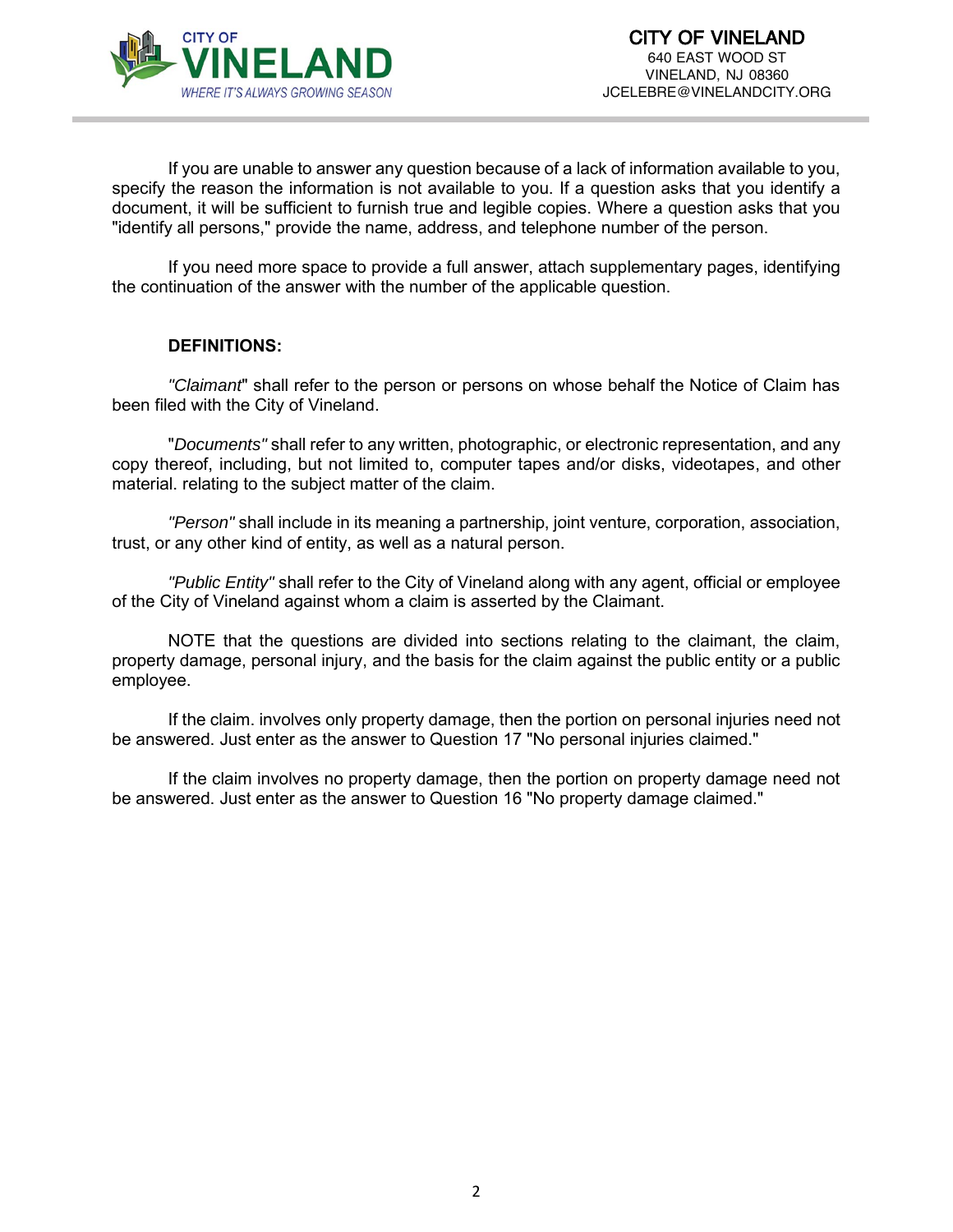

If you are unable to answer any question because of a lack of information available to you, specify the reason the information is not available to you. If a question asks that you identify a document, it will be sufficient to furnish true and legible copies. Where a question asks that you "identify all persons," provide the name, address, and telephone number of the person.

If you need more space to provide a full answer, attach supplementary pages, identifying the continuation of the answer with the number of the applicable question.

#### **DEFINITIONS:**

*"Claimant*" shall refer to the person or persons on whose behalf the Notice of Claim has been filed with the City of Vineland.

"*Documents"* shall refer to any written, photographic, or electronic representation, and any copy thereof, including, but not limited to, computer tapes and/or disks, videotapes, and other material. relating to the subject matter of the claim.

*"Person"* shall include in its meaning a partnership, joint venture, corporation, association, trust, or any other kind of entity, as well as a natural person.

*"Public Entity"* shall refer to the City of Vineland along with any agent, official or employee of the City of Vineland against whom a claim is asserted by the Claimant.

NOTE that the questions are divided into sections relating to the claimant, the claim, property damage, personal injury, and the basis for the claim against the public entity or a public employee.

If the claim. involves only property damage, then the portion on personal injuries need not be answered. Just enter as the answer to Question 17 "No personal injuries claimed."

If the claim involves no property damage, then the portion on property damage need not be answered. Just enter as the answer to Question 16 "No property damage claimed."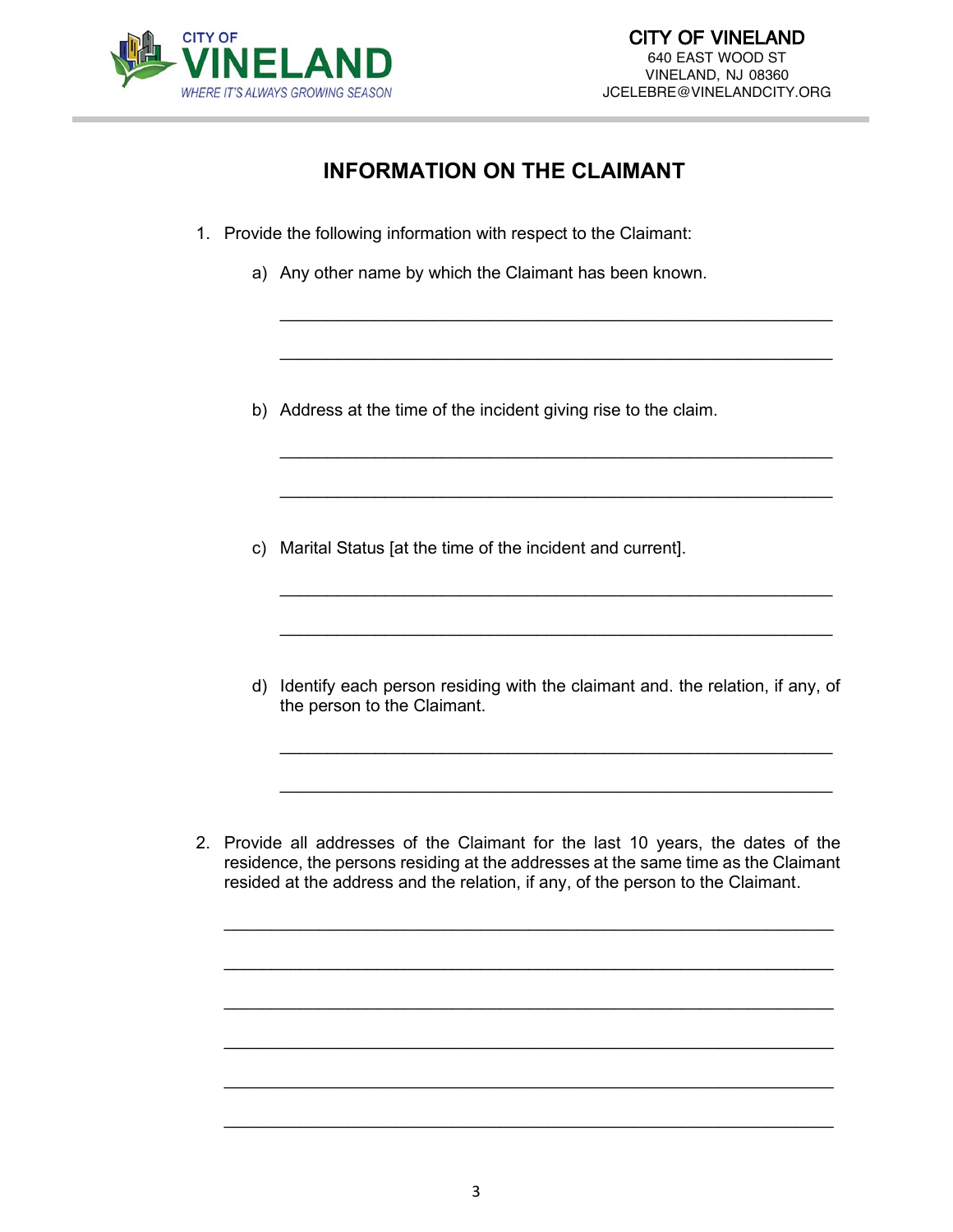

## **INFORMATION ON THE CLAIMANT**

\_\_\_\_\_\_\_\_\_\_\_\_\_\_\_\_\_\_\_\_\_\_\_\_\_\_\_\_\_\_\_\_\_\_\_\_\_\_\_\_\_\_\_\_\_\_\_\_\_\_\_\_\_\_\_\_\_\_

\_\_\_\_\_\_\_\_\_\_\_\_\_\_\_\_\_\_\_\_\_\_\_\_\_\_\_\_\_\_\_\_\_\_\_\_\_\_\_\_\_\_\_\_\_\_\_\_\_\_\_\_\_\_\_\_\_\_

\_\_\_\_\_\_\_\_\_\_\_\_\_\_\_\_\_\_\_\_\_\_\_\_\_\_\_\_\_\_\_\_\_\_\_\_\_\_\_\_\_\_\_\_\_\_\_\_\_\_\_\_\_\_\_\_\_\_

\_\_\_\_\_\_\_\_\_\_\_\_\_\_\_\_\_\_\_\_\_\_\_\_\_\_\_\_\_\_\_\_\_\_\_\_\_\_\_\_\_\_\_\_\_\_\_\_\_\_\_\_\_\_\_\_\_\_

\_\_\_\_\_\_\_\_\_\_\_\_\_\_\_\_\_\_\_\_\_\_\_\_\_\_\_\_\_\_\_\_\_\_\_\_\_\_\_\_\_\_\_\_\_\_\_\_\_\_\_\_\_\_\_\_\_\_

\_\_\_\_\_\_\_\_\_\_\_\_\_\_\_\_\_\_\_\_\_\_\_\_\_\_\_\_\_\_\_\_\_\_\_\_\_\_\_\_\_\_\_\_\_\_\_\_\_\_\_\_\_\_\_\_\_\_

- 1. Provide the following information with respect to the Claimant:
	- a) Any other name by which the Claimant has been known.
	- b) Address at the time of the incident giving rise to the claim.
	- c) Marital Status [at the time of the incident and current].
	- d) Identify each person residing with the claimant and. the relation, if any, of the person to the Claimant.

\_\_\_\_\_\_\_\_\_\_\_\_\_\_\_\_\_\_\_\_\_\_\_\_\_\_\_\_\_\_\_\_\_\_\_\_\_\_\_\_\_\_\_\_\_\_\_\_\_\_\_\_\_\_\_\_\_\_

\_\_\_\_\_\_\_\_\_\_\_\_\_\_\_\_\_\_\_\_\_\_\_\_\_\_\_\_\_\_\_\_\_\_\_\_\_\_\_\_\_\_\_\_\_\_\_\_\_\_\_\_\_\_\_\_\_\_

2. Provide all addresses of the Claimant for the last 10 years, the dates of the residence, the persons residing at the addresses at the same time as the Claimant resided at the address and the relation, if any, of the person to the Claimant.

\_\_\_\_\_\_\_\_\_\_\_\_\_\_\_\_\_\_\_\_\_\_\_\_\_\_\_\_\_\_\_\_\_\_\_\_\_\_\_\_\_\_\_\_\_\_\_\_\_\_\_\_\_\_\_\_\_\_\_\_\_\_\_\_

\_\_\_\_\_\_\_\_\_\_\_\_\_\_\_\_\_\_\_\_\_\_\_\_\_\_\_\_\_\_\_\_\_\_\_\_\_\_\_\_\_\_\_\_\_\_\_\_\_\_\_\_\_\_\_\_\_\_\_\_\_\_\_\_

\_\_\_\_\_\_\_\_\_\_\_\_\_\_\_\_\_\_\_\_\_\_\_\_\_\_\_\_\_\_\_\_\_\_\_\_\_\_\_\_\_\_\_\_\_\_\_\_\_\_\_\_\_\_\_\_\_\_\_\_\_\_\_\_

\_\_\_\_\_\_\_\_\_\_\_\_\_\_\_\_\_\_\_\_\_\_\_\_\_\_\_\_\_\_\_\_\_\_\_\_\_\_\_\_\_\_\_\_\_\_\_\_\_\_\_\_\_\_\_\_\_\_\_\_\_\_\_\_

\_\_\_\_\_\_\_\_\_\_\_\_\_\_\_\_\_\_\_\_\_\_\_\_\_\_\_\_\_\_\_\_\_\_\_\_\_\_\_\_\_\_\_\_\_\_\_\_\_\_\_\_\_\_\_\_\_\_\_\_\_\_\_\_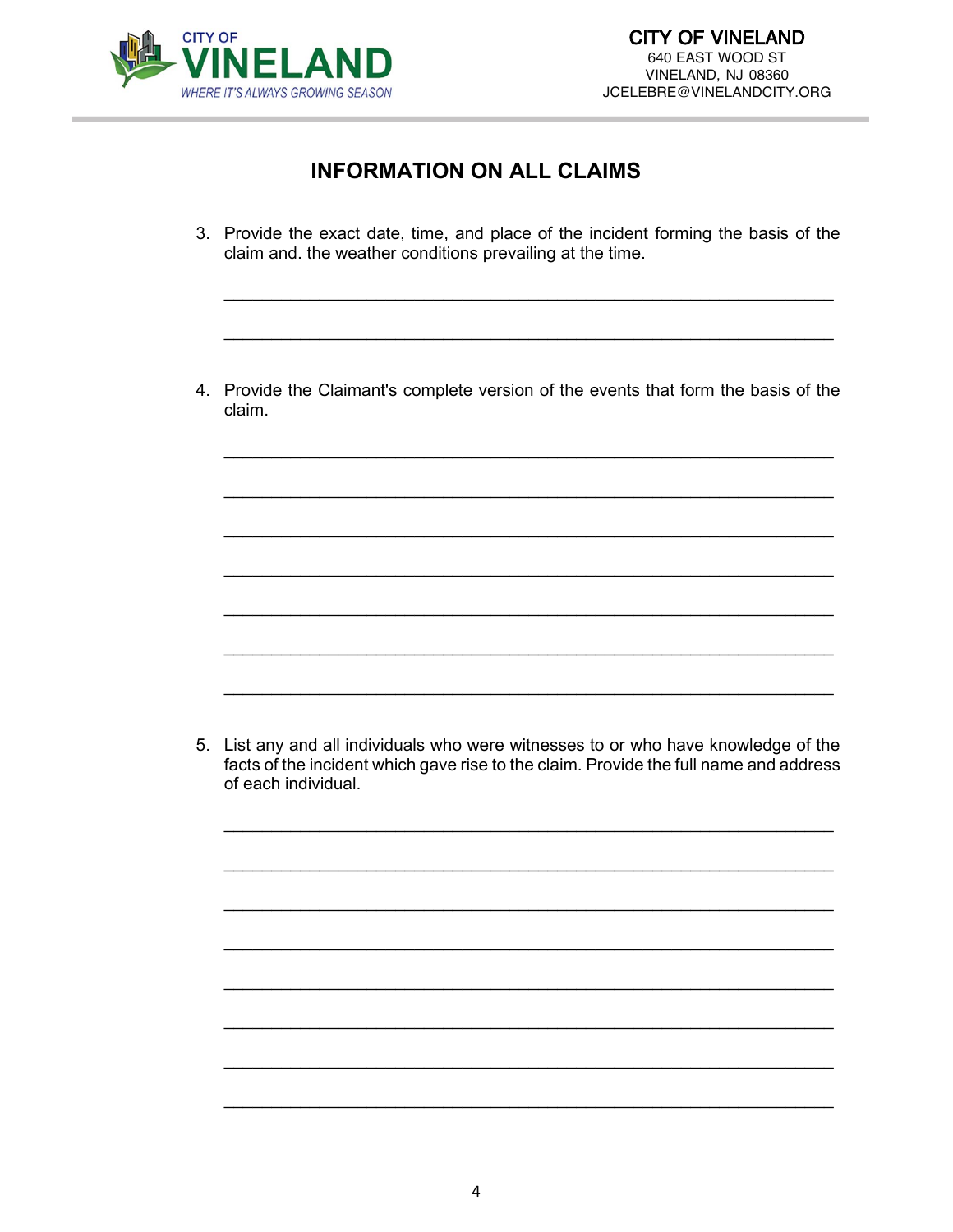

# **INFORMATION ON ALL CLAIMS**

- 3. Provide the exact date, time, and place of the incident forming the basis of the claim and. the weather conditions prevailing at the time.
- 4. Provide the Claimant's complete version of the events that form the basis of the claim.

5. List any and all individuals who were witnesses to or who have knowledge of the facts of the incident which gave rise to the claim. Provide the full name and address of each individual.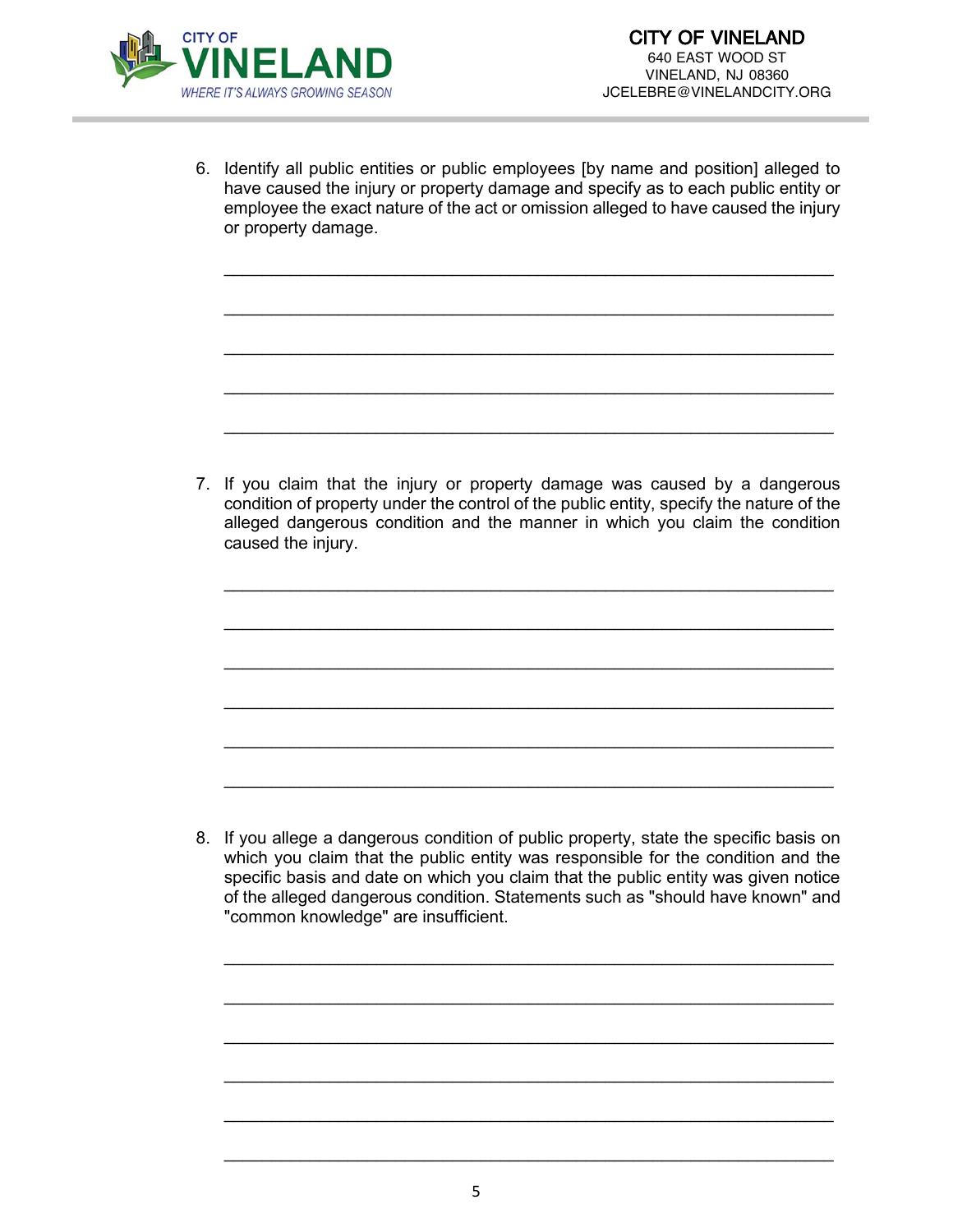

6. Identify all public entities or public employees [by name and position] alleged to have caused the injury or property damage and specify as to each public entity or employee the exact nature of the act or omission alleged to have caused the injury or property damage.

\_\_\_\_\_\_\_\_\_\_\_\_\_\_\_\_\_\_\_\_\_\_\_\_\_\_\_\_\_\_\_\_\_\_\_\_\_\_\_\_\_\_\_\_\_\_\_\_\_\_\_\_\_\_\_\_\_\_\_\_\_\_\_\_

\_\_\_\_\_\_\_\_\_\_\_\_\_\_\_\_\_\_\_\_\_\_\_\_\_\_\_\_\_\_\_\_\_\_\_\_\_\_\_\_\_\_\_\_\_\_\_\_\_\_\_\_\_\_\_\_\_\_\_\_\_\_\_\_

\_\_\_\_\_\_\_\_\_\_\_\_\_\_\_\_\_\_\_\_\_\_\_\_\_\_\_\_\_\_\_\_\_\_\_\_\_\_\_\_\_\_\_\_\_\_\_\_\_\_\_\_\_\_\_\_\_\_\_\_\_\_\_\_

\_\_\_\_\_\_\_\_\_\_\_\_\_\_\_\_\_\_\_\_\_\_\_\_\_\_\_\_\_\_\_\_\_\_\_\_\_\_\_\_\_\_\_\_\_\_\_\_\_\_\_\_\_\_\_\_\_\_\_\_\_\_\_\_

\_\_\_\_\_\_\_\_\_\_\_\_\_\_\_\_\_\_\_\_\_\_\_\_\_\_\_\_\_\_\_\_\_\_\_\_\_\_\_\_\_\_\_\_\_\_\_\_\_\_\_\_\_\_\_\_\_\_\_\_\_\_\_\_

7. If you claim that the injury or property damage was caused by a dangerous condition of property under the control of the public entity, specify the nature of the alleged dangerous condition and the manner in which you claim the condition caused the injury.

\_\_\_\_\_\_\_\_\_\_\_\_\_\_\_\_\_\_\_\_\_\_\_\_\_\_\_\_\_\_\_\_\_\_\_\_\_\_\_\_\_\_\_\_\_\_\_\_\_\_\_\_\_\_\_\_\_\_\_\_\_\_\_\_

\_\_\_\_\_\_\_\_\_\_\_\_\_\_\_\_\_\_\_\_\_\_\_\_\_\_\_\_\_\_\_\_\_\_\_\_\_\_\_\_\_\_\_\_\_\_\_\_\_\_\_\_\_\_\_\_\_\_\_\_\_\_\_\_

\_\_\_\_\_\_\_\_\_\_\_\_\_\_\_\_\_\_\_\_\_\_\_\_\_\_\_\_\_\_\_\_\_\_\_\_\_\_\_\_\_\_\_\_\_\_\_\_\_\_\_\_\_\_\_\_\_\_\_\_\_\_\_\_

\_\_\_\_\_\_\_\_\_\_\_\_\_\_\_\_\_\_\_\_\_\_\_\_\_\_\_\_\_\_\_\_\_\_\_\_\_\_\_\_\_\_\_\_\_\_\_\_\_\_\_\_\_\_\_\_\_\_\_\_\_\_\_\_

\_\_\_\_\_\_\_\_\_\_\_\_\_\_\_\_\_\_\_\_\_\_\_\_\_\_\_\_\_\_\_\_\_\_\_\_\_\_\_\_\_\_\_\_\_\_\_\_\_\_\_\_\_\_\_\_\_\_\_\_\_\_\_\_

\_\_\_\_\_\_\_\_\_\_\_\_\_\_\_\_\_\_\_\_\_\_\_\_\_\_\_\_\_\_\_\_\_\_\_\_\_\_\_\_\_\_\_\_\_\_\_\_\_\_\_\_\_\_\_\_\_\_\_\_\_\_\_\_

8. If you allege a dangerous condition of public property, state the specific basis on which you claim that the public entity was responsible for the condition and the specific basis and date on which you claim that the public entity was given notice of the alleged dangerous condition. Statements such as "should have known" and "common knowledge" are insufficient.

\_\_\_\_\_\_\_\_\_\_\_\_\_\_\_\_\_\_\_\_\_\_\_\_\_\_\_\_\_\_\_\_\_\_\_\_\_\_\_\_\_\_\_\_\_\_\_\_\_\_\_\_\_\_\_\_\_\_\_\_\_\_\_\_

\_\_\_\_\_\_\_\_\_\_\_\_\_\_\_\_\_\_\_\_\_\_\_\_\_\_\_\_\_\_\_\_\_\_\_\_\_\_\_\_\_\_\_\_\_\_\_\_\_\_\_\_\_\_\_\_\_\_\_\_\_\_\_\_

\_\_\_\_\_\_\_\_\_\_\_\_\_\_\_\_\_\_\_\_\_\_\_\_\_\_\_\_\_\_\_\_\_\_\_\_\_\_\_\_\_\_\_\_\_\_\_\_\_\_\_\_\_\_\_\_\_\_\_\_\_\_\_\_

\_\_\_\_\_\_\_\_\_\_\_\_\_\_\_\_\_\_\_\_\_\_\_\_\_\_\_\_\_\_\_\_\_\_\_\_\_\_\_\_\_\_\_\_\_\_\_\_\_\_\_\_\_\_\_\_\_\_\_\_\_\_\_\_

\_\_\_\_\_\_\_\_\_\_\_\_\_\_\_\_\_\_\_\_\_\_\_\_\_\_\_\_\_\_\_\_\_\_\_\_\_\_\_\_\_\_\_\_\_\_\_\_\_\_\_\_\_\_\_\_\_\_\_\_\_\_\_\_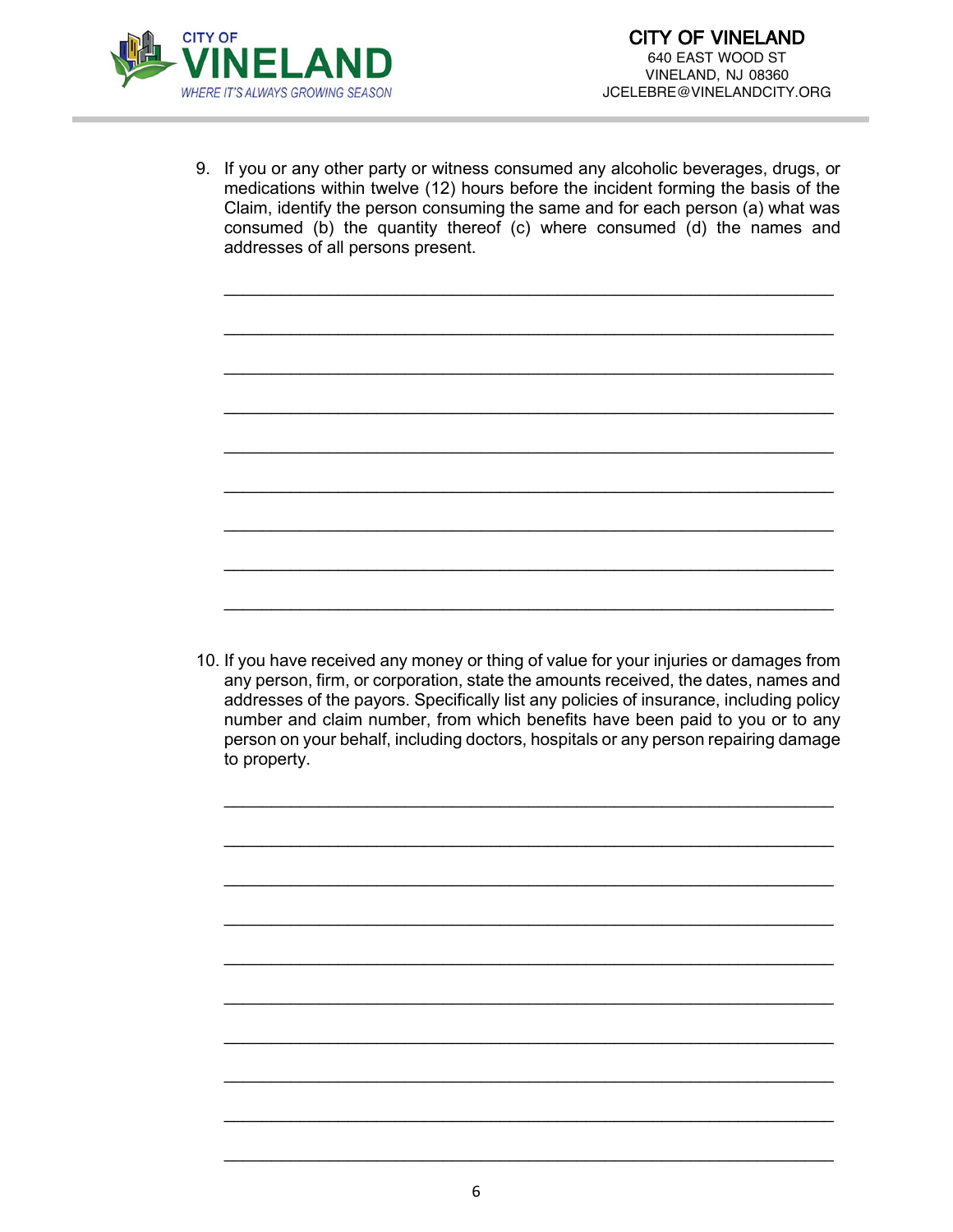

9. If you or any other party or witness consumed any alcoholic beverages, drugs, or medications within twelve (12) hours before the incident forming the basis of the Claim, identify the person consuming the same and for each person (a) what was consumed (b) the quantity thereof (c) where consumed (d) the names and addresses of all persons present.

\_\_\_\_\_\_\_\_\_\_\_\_\_\_\_\_\_\_\_\_\_\_\_\_\_\_\_\_\_\_\_\_\_\_\_\_\_\_\_\_\_\_\_\_\_\_\_\_\_\_\_\_\_\_\_\_\_\_\_\_\_\_\_\_

\_\_\_\_\_\_\_\_\_\_\_\_\_\_\_\_\_\_\_\_\_\_\_\_\_\_\_\_\_\_\_\_\_\_\_\_\_\_\_\_\_\_\_\_\_\_\_\_\_\_\_\_\_\_\_\_\_\_\_\_\_\_\_\_

\_\_\_\_\_\_\_\_\_\_\_\_\_\_\_\_\_\_\_\_\_\_\_\_\_\_\_\_\_\_\_\_\_\_\_\_\_\_\_\_\_\_\_\_\_\_\_\_\_\_\_\_\_\_\_\_\_\_\_\_\_\_\_\_

\_\_\_\_\_\_\_\_\_\_\_\_\_\_\_\_\_\_\_\_\_\_\_\_\_\_\_\_\_\_\_\_\_\_\_\_\_\_\_\_\_\_\_\_\_\_\_\_\_\_\_\_\_\_\_\_\_\_\_\_\_\_\_\_

\_\_\_\_\_\_\_\_\_\_\_\_\_\_\_\_\_\_\_\_\_\_\_\_\_\_\_\_\_\_\_\_\_\_\_\_\_\_\_\_\_\_\_\_\_\_\_\_\_\_\_\_\_\_\_\_\_\_\_\_\_\_\_\_

\_\_\_\_\_\_\_\_\_\_\_\_\_\_\_\_\_\_\_\_\_\_\_\_\_\_\_\_\_\_\_\_\_\_\_\_\_\_\_\_\_\_\_\_\_\_\_\_\_\_\_\_\_\_\_\_\_\_\_\_\_\_\_\_

\_\_\_\_\_\_\_\_\_\_\_\_\_\_\_\_\_\_\_\_\_\_\_\_\_\_\_\_\_\_\_\_\_\_\_\_\_\_\_\_\_\_\_\_\_\_\_\_\_\_\_\_\_\_\_\_\_\_\_\_\_\_\_\_

\_\_\_\_\_\_\_\_\_\_\_\_\_\_\_\_\_\_\_\_\_\_\_\_\_\_\_\_\_\_\_\_\_\_\_\_\_\_\_\_\_\_\_\_\_\_\_\_\_\_\_\_\_\_\_\_\_\_\_\_\_\_\_\_

\_\_\_\_\_\_\_\_\_\_\_\_\_\_\_\_\_\_\_\_\_\_\_\_\_\_\_\_\_\_\_\_\_\_\_\_\_\_\_\_\_\_\_\_\_\_\_\_\_\_\_\_\_\_\_\_\_\_\_\_\_\_\_\_

10. If you have received any money or thing of value for your injuries or damages from any person, firm, or corporation, state the amounts received, the dates, names and addresses of the payors. Specifically list any policies of insurance, including policy number and claim number, from which benefits have been paid to you or to any person on your behalf, including doctors, hospitals or any person repairing damage to property.

\_\_\_\_\_\_\_\_\_\_\_\_\_\_\_\_\_\_\_\_\_\_\_\_\_\_\_\_\_\_\_\_\_\_\_\_\_\_\_\_\_\_\_\_\_\_\_\_\_\_\_\_\_\_\_\_\_\_\_\_\_\_\_\_

\_\_\_\_\_\_\_\_\_\_\_\_\_\_\_\_\_\_\_\_\_\_\_\_\_\_\_\_\_\_\_\_\_\_\_\_\_\_\_\_\_\_\_\_\_\_\_\_\_\_\_\_\_\_\_\_\_\_\_\_\_\_\_\_

\_\_\_\_\_\_\_\_\_\_\_\_\_\_\_\_\_\_\_\_\_\_\_\_\_\_\_\_\_\_\_\_\_\_\_\_\_\_\_\_\_\_\_\_\_\_\_\_\_\_\_\_\_\_\_\_\_\_\_\_\_\_\_\_

\_\_\_\_\_\_\_\_\_\_\_\_\_\_\_\_\_\_\_\_\_\_\_\_\_\_\_\_\_\_\_\_\_\_\_\_\_\_\_\_\_\_\_\_\_\_\_\_\_\_\_\_\_\_\_\_\_\_\_\_\_\_\_\_

\_\_\_\_\_\_\_\_\_\_\_\_\_\_\_\_\_\_\_\_\_\_\_\_\_\_\_\_\_\_\_\_\_\_\_\_\_\_\_\_\_\_\_\_\_\_\_\_\_\_\_\_\_\_\_\_\_\_\_\_\_\_\_\_

\_\_\_\_\_\_\_\_\_\_\_\_\_\_\_\_\_\_\_\_\_\_\_\_\_\_\_\_\_\_\_\_\_\_\_\_\_\_\_\_\_\_\_\_\_\_\_\_\_\_\_\_\_\_\_\_\_\_\_\_\_\_\_\_

\_\_\_\_\_\_\_\_\_\_\_\_\_\_\_\_\_\_\_\_\_\_\_\_\_\_\_\_\_\_\_\_\_\_\_\_\_\_\_\_\_\_\_\_\_\_\_\_\_\_\_\_\_\_\_\_\_\_\_\_\_\_\_\_

\_\_\_\_\_\_\_\_\_\_\_\_\_\_\_\_\_\_\_\_\_\_\_\_\_\_\_\_\_\_\_\_\_\_\_\_\_\_\_\_\_\_\_\_\_\_\_\_\_\_\_\_\_\_\_\_\_\_\_\_\_\_\_\_

\_\_\_\_\_\_\_\_\_\_\_\_\_\_\_\_\_\_\_\_\_\_\_\_\_\_\_\_\_\_\_\_\_\_\_\_\_\_\_\_\_\_\_\_\_\_\_\_\_\_\_\_\_\_\_\_\_\_\_\_\_\_\_\_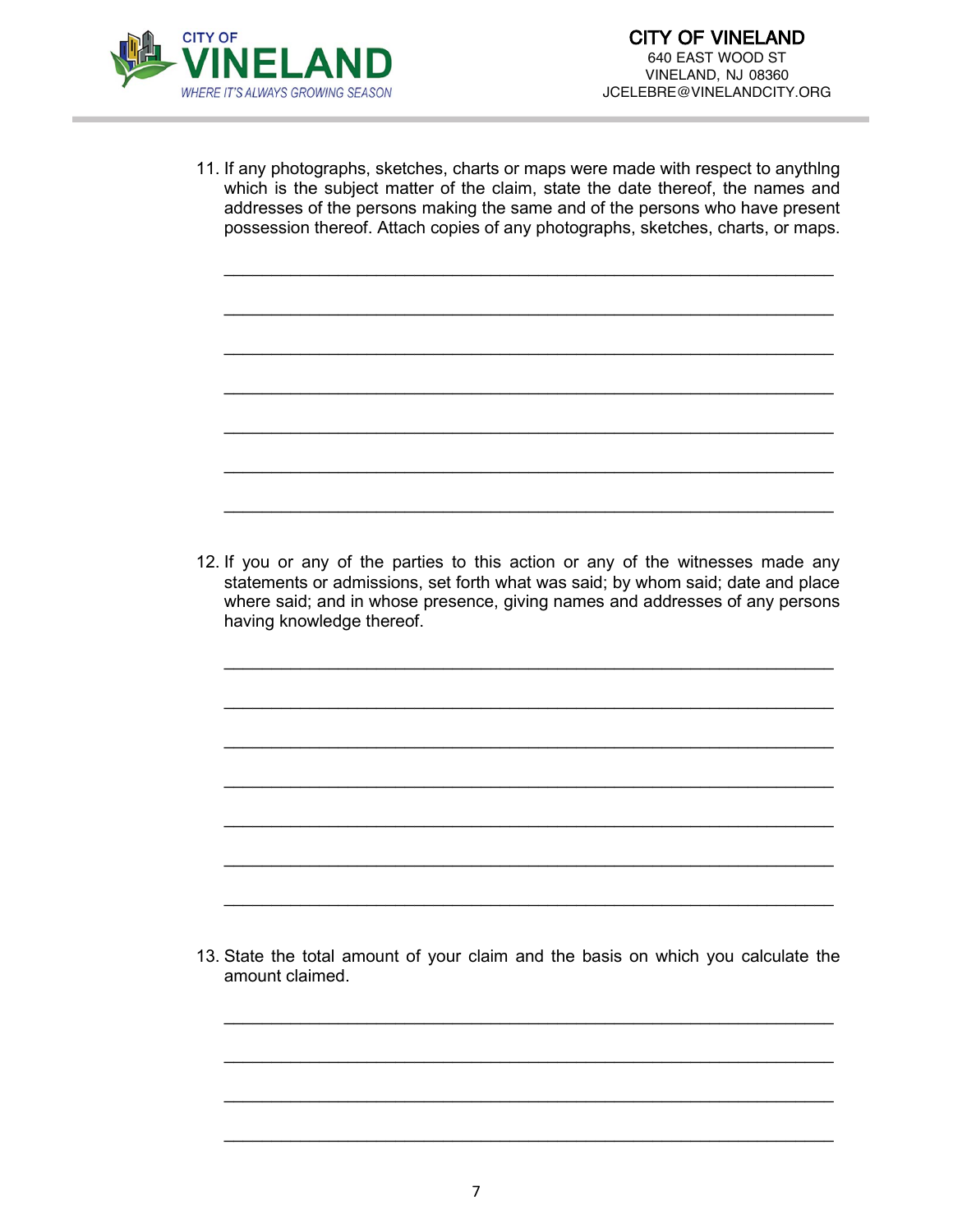

11. If any photographs, sketches, charts or maps were made with respect to anythlng which is the subject matter of the claim, state the date thereof, the names and addresses of the persons making the same and of the persons who have present possession thereof. Attach copies of any photographs, sketches, charts, or maps.

\_\_\_\_\_\_\_\_\_\_\_\_\_\_\_\_\_\_\_\_\_\_\_\_\_\_\_\_\_\_\_\_\_\_\_\_\_\_\_\_\_\_\_\_\_\_\_\_\_\_\_\_\_\_\_\_\_\_\_\_\_\_\_\_

\_\_\_\_\_\_\_\_\_\_\_\_\_\_\_\_\_\_\_\_\_\_\_\_\_\_\_\_\_\_\_\_\_\_\_\_\_\_\_\_\_\_\_\_\_\_\_\_\_\_\_\_\_\_\_\_\_\_\_\_\_\_\_\_

\_\_\_\_\_\_\_\_\_\_\_\_\_\_\_\_\_\_\_\_\_\_\_\_\_\_\_\_\_\_\_\_\_\_\_\_\_\_\_\_\_\_\_\_\_\_\_\_\_\_\_\_\_\_\_\_\_\_\_\_\_\_\_\_

\_\_\_\_\_\_\_\_\_\_\_\_\_\_\_\_\_\_\_\_\_\_\_\_\_\_\_\_\_\_\_\_\_\_\_\_\_\_\_\_\_\_\_\_\_\_\_\_\_\_\_\_\_\_\_\_\_\_\_\_\_\_\_\_

\_\_\_\_\_\_\_\_\_\_\_\_\_\_\_\_\_\_\_\_\_\_\_\_\_\_\_\_\_\_\_\_\_\_\_\_\_\_\_\_\_\_\_\_\_\_\_\_\_\_\_\_\_\_\_\_\_\_\_\_\_\_\_\_

\_\_\_\_\_\_\_\_\_\_\_\_\_\_\_\_\_\_\_\_\_\_\_\_\_\_\_\_\_\_\_\_\_\_\_\_\_\_\_\_\_\_\_\_\_\_\_\_\_\_\_\_\_\_\_\_\_\_\_\_\_\_\_\_

\_\_\_\_\_\_\_\_\_\_\_\_\_\_\_\_\_\_\_\_\_\_\_\_\_\_\_\_\_\_\_\_\_\_\_\_\_\_\_\_\_\_\_\_\_\_\_\_\_\_\_\_\_\_\_\_\_\_\_\_\_\_\_\_

12. If you or any of the parties to this action or any of the witnesses made any statements or admissions, set forth what was said; by whom said; date and place where said; and in whose presence, giving names and addresses of any persons having knowledge thereof.

\_\_\_\_\_\_\_\_\_\_\_\_\_\_\_\_\_\_\_\_\_\_\_\_\_\_\_\_\_\_\_\_\_\_\_\_\_\_\_\_\_\_\_\_\_\_\_\_\_\_\_\_\_\_\_\_\_\_\_\_\_\_\_\_

\_\_\_\_\_\_\_\_\_\_\_\_\_\_\_\_\_\_\_\_\_\_\_\_\_\_\_\_\_\_\_\_\_\_\_\_\_\_\_\_\_\_\_\_\_\_\_\_\_\_\_\_\_\_\_\_\_\_\_\_\_\_\_\_

\_\_\_\_\_\_\_\_\_\_\_\_\_\_\_\_\_\_\_\_\_\_\_\_\_\_\_\_\_\_\_\_\_\_\_\_\_\_\_\_\_\_\_\_\_\_\_\_\_\_\_\_\_\_\_\_\_\_\_\_\_\_\_\_

\_\_\_\_\_\_\_\_\_\_\_\_\_\_\_\_\_\_\_\_\_\_\_\_\_\_\_\_\_\_\_\_\_\_\_\_\_\_\_\_\_\_\_\_\_\_\_\_\_\_\_\_\_\_\_\_\_\_\_\_\_\_\_\_

\_\_\_\_\_\_\_\_\_\_\_\_\_\_\_\_\_\_\_\_\_\_\_\_\_\_\_\_\_\_\_\_\_\_\_\_\_\_\_\_\_\_\_\_\_\_\_\_\_\_\_\_\_\_\_\_\_\_\_\_\_\_\_\_

\_\_\_\_\_\_\_\_\_\_\_\_\_\_\_\_\_\_\_\_\_\_\_\_\_\_\_\_\_\_\_\_\_\_\_\_\_\_\_\_\_\_\_\_\_\_\_\_\_\_\_\_\_\_\_\_\_\_\_\_\_\_\_\_

\_\_\_\_\_\_\_\_\_\_\_\_\_\_\_\_\_\_\_\_\_\_\_\_\_\_\_\_\_\_\_\_\_\_\_\_\_\_\_\_\_\_\_\_\_\_\_\_\_\_\_\_\_\_\_\_\_\_\_\_\_\_\_\_

13. State the total amount of your claim and the basis on which you calculate the amount claimed.

\_\_\_\_\_\_\_\_\_\_\_\_\_\_\_\_\_\_\_\_\_\_\_\_\_\_\_\_\_\_\_\_\_\_\_\_\_\_\_\_\_\_\_\_\_\_\_\_\_\_\_\_\_\_\_\_\_\_\_\_\_\_\_\_

\_\_\_\_\_\_\_\_\_\_\_\_\_\_\_\_\_\_\_\_\_\_\_\_\_\_\_\_\_\_\_\_\_\_\_\_\_\_\_\_\_\_\_\_\_\_\_\_\_\_\_\_\_\_\_\_\_\_\_\_\_\_\_\_

\_\_\_\_\_\_\_\_\_\_\_\_\_\_\_\_\_\_\_\_\_\_\_\_\_\_\_\_\_\_\_\_\_\_\_\_\_\_\_\_\_\_\_\_\_\_\_\_\_\_\_\_\_\_\_\_\_\_\_\_\_\_\_\_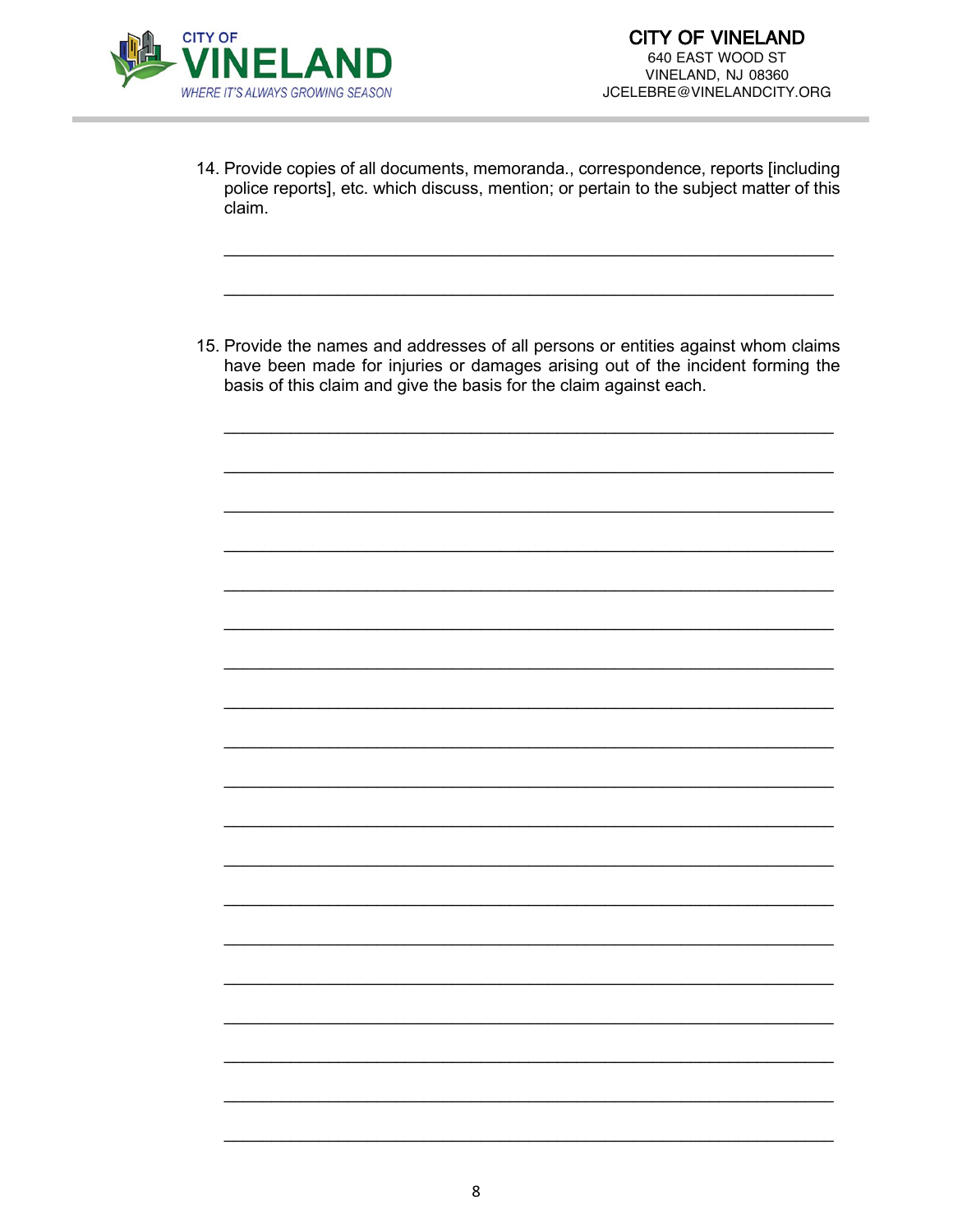

- 14. Provide copies of all documents, memoranda., correspondence, reports [including police reports], etc. which discuss, mention; or pertain to the subject matter of this claim.
- 15. Provide the names and addresses of all persons or entities against whom claims have been made for injuries or damages arising out of the incident forming the basis of this claim and give the basis for the claim against each.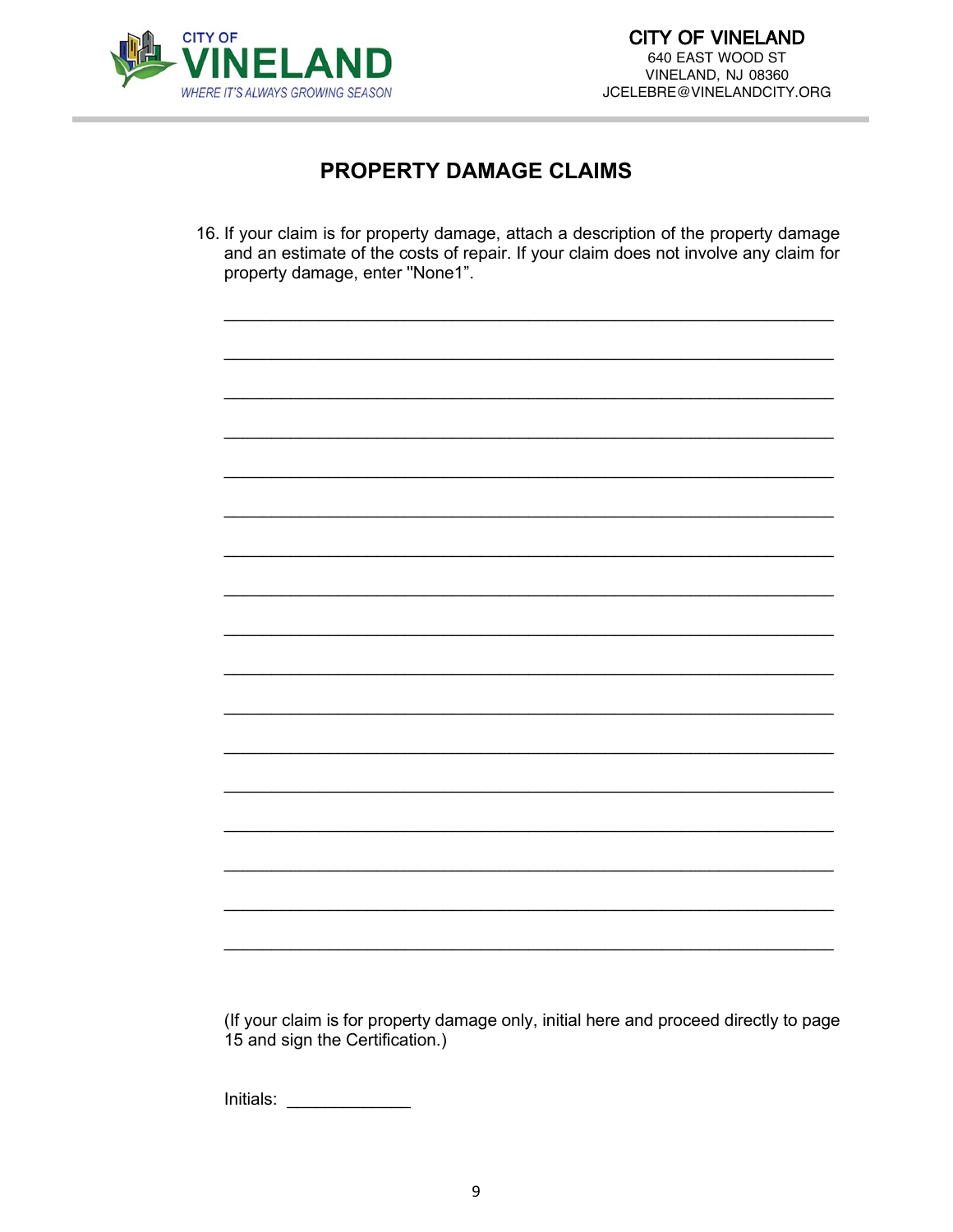

# **PROPERTY DAMAGE CLAIMS**

16. If your claim is for property damage, attach a description of the property damage and an estimate of the costs of repair. If your claim does not involve any claim for property damage, enter "None1".

(If your claim is for property damage only, initial here and proceed directly to page 15 and sign the Certification.)

 $\boxed{\text{Initals:}\n\qquad \qquad \qquad \qquad \qquad }$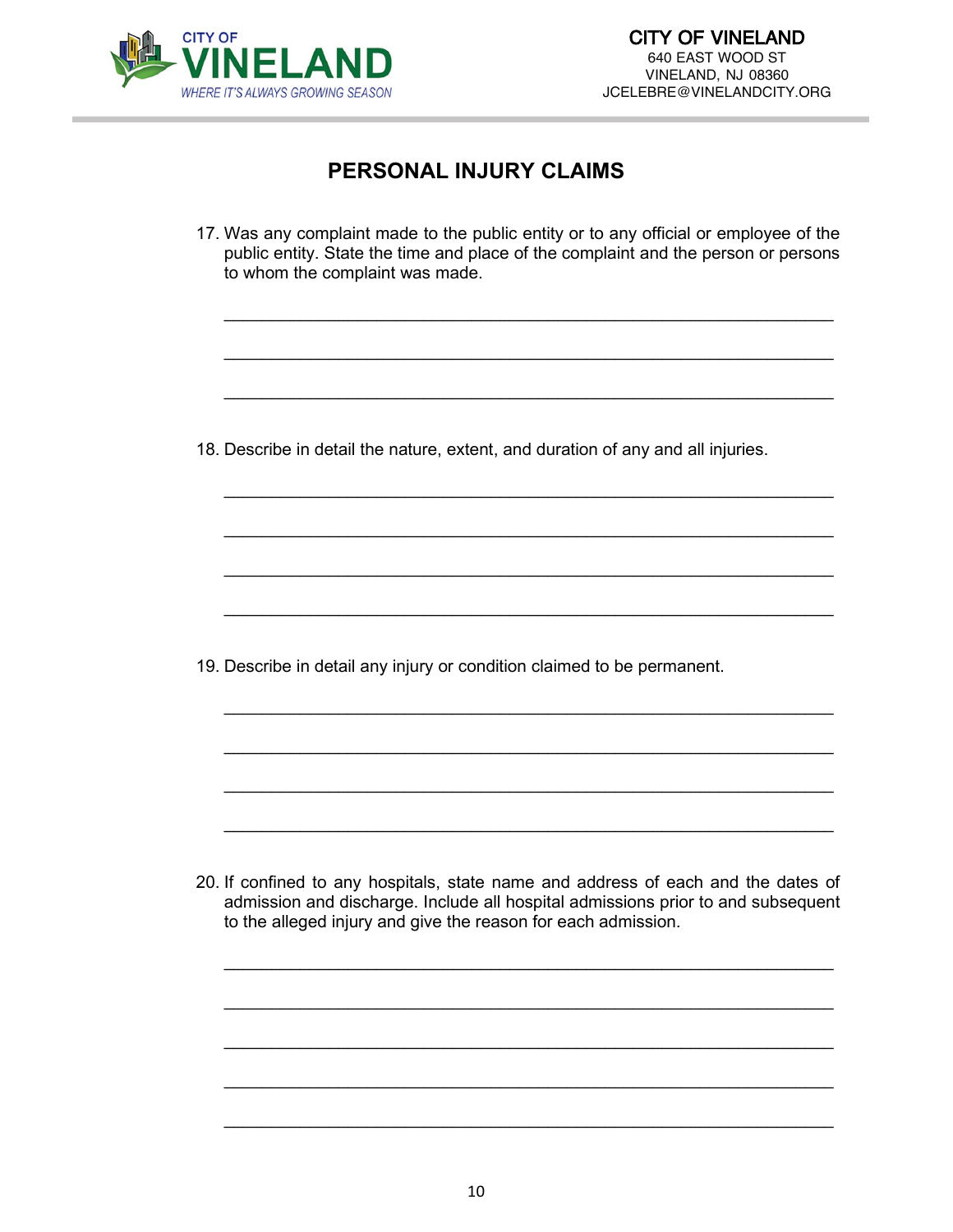

# **PERSONAL INJURY CLAIMS**

17. Was any complaint made to the public entity or to any official or employee of the public entity. State the time and place of the complaint and the person or persons to whom the complaint was made.

\_\_\_\_\_\_\_\_\_\_\_\_\_\_\_\_\_\_\_\_\_\_\_\_\_\_\_\_\_\_\_\_\_\_\_\_\_\_\_\_\_\_\_\_\_\_\_\_\_\_\_\_\_\_\_\_\_\_\_\_\_\_\_\_

\_\_\_\_\_\_\_\_\_\_\_\_\_\_\_\_\_\_\_\_\_\_\_\_\_\_\_\_\_\_\_\_\_\_\_\_\_\_\_\_\_\_\_\_\_\_\_\_\_\_\_\_\_\_\_\_\_\_\_\_\_\_\_\_

\_\_\_\_\_\_\_\_\_\_\_\_\_\_\_\_\_\_\_\_\_\_\_\_\_\_\_\_\_\_\_\_\_\_\_\_\_\_\_\_\_\_\_\_\_\_\_\_\_\_\_\_\_\_\_\_\_\_\_\_\_\_\_\_

\_\_\_\_\_\_\_\_\_\_\_\_\_\_\_\_\_\_\_\_\_\_\_\_\_\_\_\_\_\_\_\_\_\_\_\_\_\_\_\_\_\_\_\_\_\_\_\_\_\_\_\_\_\_\_\_\_\_\_\_\_\_\_\_

\_\_\_\_\_\_\_\_\_\_\_\_\_\_\_\_\_\_\_\_\_\_\_\_\_\_\_\_\_\_\_\_\_\_\_\_\_\_\_\_\_\_\_\_\_\_\_\_\_\_\_\_\_\_\_\_\_\_\_\_\_\_\_\_

\_\_\_\_\_\_\_\_\_\_\_\_\_\_\_\_\_\_\_\_\_\_\_\_\_\_\_\_\_\_\_\_\_\_\_\_\_\_\_\_\_\_\_\_\_\_\_\_\_\_\_\_\_\_\_\_\_\_\_\_\_\_\_\_

\_\_\_\_\_\_\_\_\_\_\_\_\_\_\_\_\_\_\_\_\_\_\_\_\_\_\_\_\_\_\_\_\_\_\_\_\_\_\_\_\_\_\_\_\_\_\_\_\_\_\_\_\_\_\_\_\_\_\_\_\_\_\_\_

\_\_\_\_\_\_\_\_\_\_\_\_\_\_\_\_\_\_\_\_\_\_\_\_\_\_\_\_\_\_\_\_\_\_\_\_\_\_\_\_\_\_\_\_\_\_\_\_\_\_\_\_\_\_\_\_\_\_\_\_\_\_\_\_

\_\_\_\_\_\_\_\_\_\_\_\_\_\_\_\_\_\_\_\_\_\_\_\_\_\_\_\_\_\_\_\_\_\_\_\_\_\_\_\_\_\_\_\_\_\_\_\_\_\_\_\_\_\_\_\_\_\_\_\_\_\_\_\_

\_\_\_\_\_\_\_\_\_\_\_\_\_\_\_\_\_\_\_\_\_\_\_\_\_\_\_\_\_\_\_\_\_\_\_\_\_\_\_\_\_\_\_\_\_\_\_\_\_\_\_\_\_\_\_\_\_\_\_\_\_\_\_\_

\_\_\_\_\_\_\_\_\_\_\_\_\_\_\_\_\_\_\_\_\_\_\_\_\_\_\_\_\_\_\_\_\_\_\_\_\_\_\_\_\_\_\_\_\_\_\_\_\_\_\_\_\_\_\_\_\_\_\_\_\_\_\_\_

18. Describe in detail the nature, extent, and duration of any and all injuries.

19. Describe in detail any injury or condition claimed to be permanent.

20. If confined to any hospitals, state name and address of each and the dates of admission and discharge. Include all hospital admissions prior to and subsequent to the alleged injury and give the reason for each admission.

\_\_\_\_\_\_\_\_\_\_\_\_\_\_\_\_\_\_\_\_\_\_\_\_\_\_\_\_\_\_\_\_\_\_\_\_\_\_\_\_\_\_\_\_\_\_\_\_\_\_\_\_\_\_\_\_\_\_\_\_\_\_\_\_

\_\_\_\_\_\_\_\_\_\_\_\_\_\_\_\_\_\_\_\_\_\_\_\_\_\_\_\_\_\_\_\_\_\_\_\_\_\_\_\_\_\_\_\_\_\_\_\_\_\_\_\_\_\_\_\_\_\_\_\_\_\_\_\_

\_\_\_\_\_\_\_\_\_\_\_\_\_\_\_\_\_\_\_\_\_\_\_\_\_\_\_\_\_\_\_\_\_\_\_\_\_\_\_\_\_\_\_\_\_\_\_\_\_\_\_\_\_\_\_\_\_\_\_\_\_\_\_\_

\_\_\_\_\_\_\_\_\_\_\_\_\_\_\_\_\_\_\_\_\_\_\_\_\_\_\_\_\_\_\_\_\_\_\_\_\_\_\_\_\_\_\_\_\_\_\_\_\_\_\_\_\_\_\_\_\_\_\_\_\_\_\_\_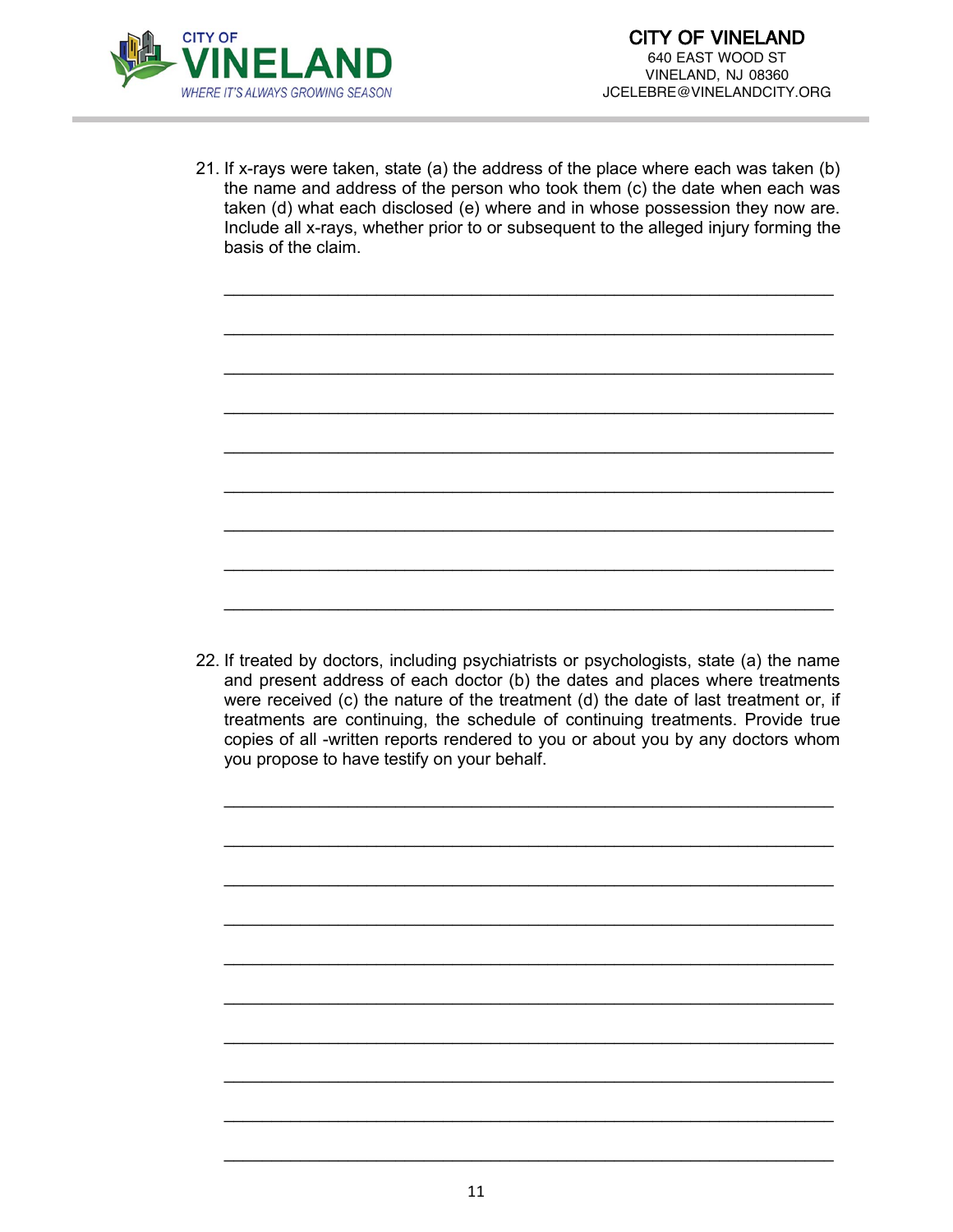

21. If x-rays were taken, state (a) the address of the place where each was taken (b) the name and address of the person who took them (c) the date when each was taken (d) what each disclosed (e) where and in whose possession they now are. Include all x-rays, whether prior to or subsequent to the alleged injury forming the basis of the claim.

\_\_\_\_\_\_\_\_\_\_\_\_\_\_\_\_\_\_\_\_\_\_\_\_\_\_\_\_\_\_\_\_\_\_\_\_\_\_\_\_\_\_\_\_\_\_\_\_\_\_\_\_\_\_\_\_\_\_\_\_\_\_\_\_

\_\_\_\_\_\_\_\_\_\_\_\_\_\_\_\_\_\_\_\_\_\_\_\_\_\_\_\_\_\_\_\_\_\_\_\_\_\_\_\_\_\_\_\_\_\_\_\_\_\_\_\_\_\_\_\_\_\_\_\_\_\_\_\_

\_\_\_\_\_\_\_\_\_\_\_\_\_\_\_\_\_\_\_\_\_\_\_\_\_\_\_\_\_\_\_\_\_\_\_\_\_\_\_\_\_\_\_\_\_\_\_\_\_\_\_\_\_\_\_\_\_\_\_\_\_\_\_\_

\_\_\_\_\_\_\_\_\_\_\_\_\_\_\_\_\_\_\_\_\_\_\_\_\_\_\_\_\_\_\_\_\_\_\_\_\_\_\_\_\_\_\_\_\_\_\_\_\_\_\_\_\_\_\_\_\_\_\_\_\_\_\_\_

\_\_\_\_\_\_\_\_\_\_\_\_\_\_\_\_\_\_\_\_\_\_\_\_\_\_\_\_\_\_\_\_\_\_\_\_\_\_\_\_\_\_\_\_\_\_\_\_\_\_\_\_\_\_\_\_\_\_\_\_\_\_\_\_

\_\_\_\_\_\_\_\_\_\_\_\_\_\_\_\_\_\_\_\_\_\_\_\_\_\_\_\_\_\_\_\_\_\_\_\_\_\_\_\_\_\_\_\_\_\_\_\_\_\_\_\_\_\_\_\_\_\_\_\_\_\_\_\_

\_\_\_\_\_\_\_\_\_\_\_\_\_\_\_\_\_\_\_\_\_\_\_\_\_\_\_\_\_\_\_\_\_\_\_\_\_\_\_\_\_\_\_\_\_\_\_\_\_\_\_\_\_\_\_\_\_\_\_\_\_\_\_\_

\_\_\_\_\_\_\_\_\_\_\_\_\_\_\_\_\_\_\_\_\_\_\_\_\_\_\_\_\_\_\_\_\_\_\_\_\_\_\_\_\_\_\_\_\_\_\_\_\_\_\_\_\_\_\_\_\_\_\_\_\_\_\_\_

\_\_\_\_\_\_\_\_\_\_\_\_\_\_\_\_\_\_\_\_\_\_\_\_\_\_\_\_\_\_\_\_\_\_\_\_\_\_\_\_\_\_\_\_\_\_\_\_\_\_\_\_\_\_\_\_\_\_\_\_\_\_\_\_



\_\_\_\_\_\_\_\_\_\_\_\_\_\_\_\_\_\_\_\_\_\_\_\_\_\_\_\_\_\_\_\_\_\_\_\_\_\_\_\_\_\_\_\_\_\_\_\_\_\_\_\_\_\_\_\_\_\_\_\_\_\_\_\_

\_\_\_\_\_\_\_\_\_\_\_\_\_\_\_\_\_\_\_\_\_\_\_\_\_\_\_\_\_\_\_\_\_\_\_\_\_\_\_\_\_\_\_\_\_\_\_\_\_\_\_\_\_\_\_\_\_\_\_\_\_\_\_\_

\_\_\_\_\_\_\_\_\_\_\_\_\_\_\_\_\_\_\_\_\_\_\_\_\_\_\_\_\_\_\_\_\_\_\_\_\_\_\_\_\_\_\_\_\_\_\_\_\_\_\_\_\_\_\_\_\_\_\_\_\_\_\_\_

\_\_\_\_\_\_\_\_\_\_\_\_\_\_\_\_\_\_\_\_\_\_\_\_\_\_\_\_\_\_\_\_\_\_\_\_\_\_\_\_\_\_\_\_\_\_\_\_\_\_\_\_\_\_\_\_\_\_\_\_\_\_\_\_

\_\_\_\_\_\_\_\_\_\_\_\_\_\_\_\_\_\_\_\_\_\_\_\_\_\_\_\_\_\_\_\_\_\_\_\_\_\_\_\_\_\_\_\_\_\_\_\_\_\_\_\_\_\_\_\_\_\_\_\_\_\_\_\_

\_\_\_\_\_\_\_\_\_\_\_\_\_\_\_\_\_\_\_\_\_\_\_\_\_\_\_\_\_\_\_\_\_\_\_\_\_\_\_\_\_\_\_\_\_\_\_\_\_\_\_\_\_\_\_\_\_\_\_\_\_\_\_\_

\_\_\_\_\_\_\_\_\_\_\_\_\_\_\_\_\_\_\_\_\_\_\_\_\_\_\_\_\_\_\_\_\_\_\_\_\_\_\_\_\_\_\_\_\_\_\_\_\_\_\_\_\_\_\_\_\_\_\_\_\_\_\_\_

\_\_\_\_\_\_\_\_\_\_\_\_\_\_\_\_\_\_\_\_\_\_\_\_\_\_\_\_\_\_\_\_\_\_\_\_\_\_\_\_\_\_\_\_\_\_\_\_\_\_\_\_\_\_\_\_\_\_\_\_\_\_\_\_

\_\_\_\_\_\_\_\_\_\_\_\_\_\_\_\_\_\_\_\_\_\_\_\_\_\_\_\_\_\_\_\_\_\_\_\_\_\_\_\_\_\_\_\_\_\_\_\_\_\_\_\_\_\_\_\_\_\_\_\_\_\_\_\_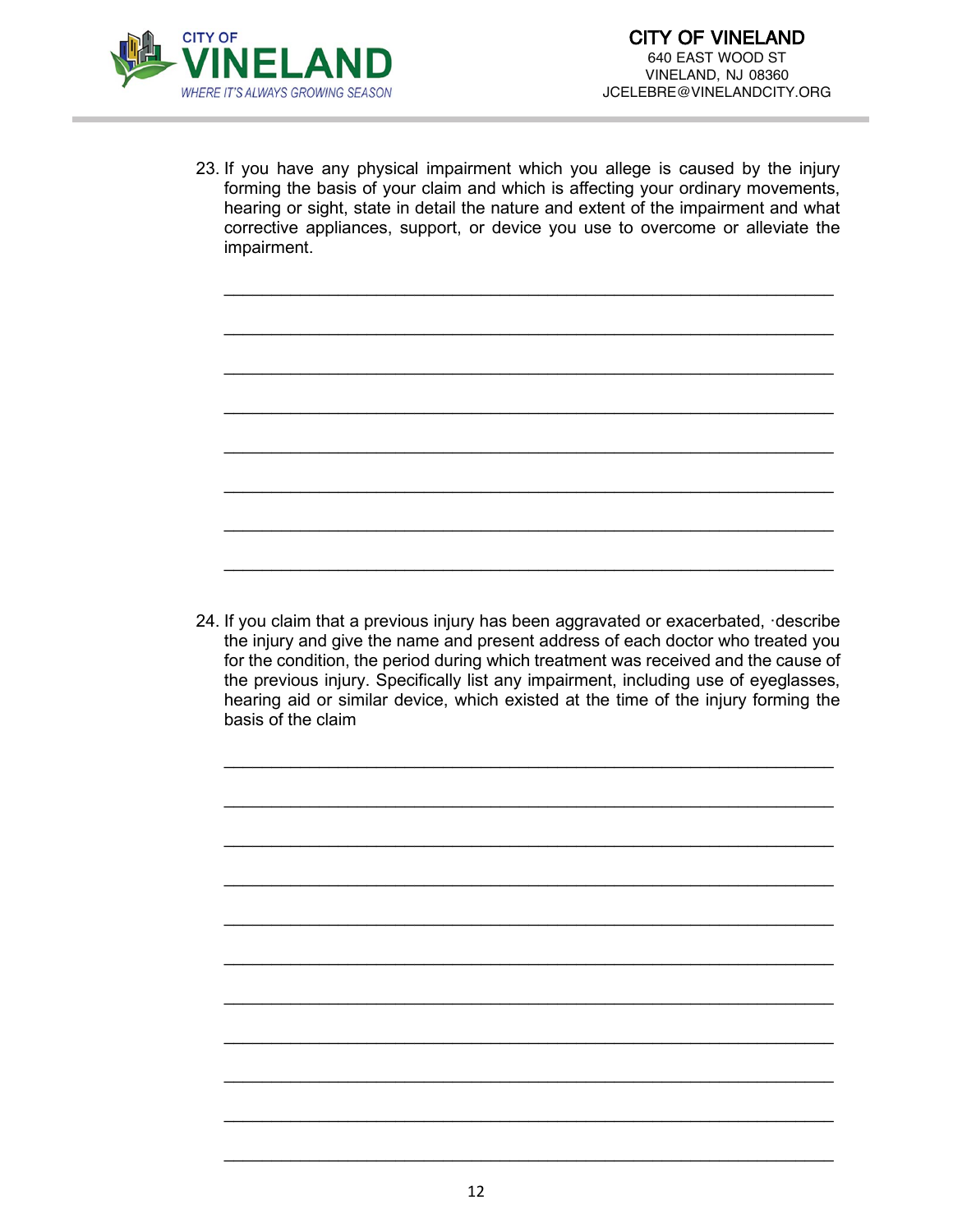

23. If you have any physical impairment which you allege is caused by the injury forming the basis of your claim and which is affecting your ordinary movements, hearing or sight, state in detail the nature and extent of the impairment and what corrective appliances, support, or device you use to overcome or alleviate the impairment.

\_\_\_\_\_\_\_\_\_\_\_\_\_\_\_\_\_\_\_\_\_\_\_\_\_\_\_\_\_\_\_\_\_\_\_\_\_\_\_\_\_\_\_\_\_\_\_\_\_\_\_\_\_\_\_\_\_\_\_\_\_\_\_\_

\_\_\_\_\_\_\_\_\_\_\_\_\_\_\_\_\_\_\_\_\_\_\_\_\_\_\_\_\_\_\_\_\_\_\_\_\_\_\_\_\_\_\_\_\_\_\_\_\_\_\_\_\_\_\_\_\_\_\_\_\_\_\_\_

\_\_\_\_\_\_\_\_\_\_\_\_\_\_\_\_\_\_\_\_\_\_\_\_\_\_\_\_\_\_\_\_\_\_\_\_\_\_\_\_\_\_\_\_\_\_\_\_\_\_\_\_\_\_\_\_\_\_\_\_\_\_\_\_

\_\_\_\_\_\_\_\_\_\_\_\_\_\_\_\_\_\_\_\_\_\_\_\_\_\_\_\_\_\_\_\_\_\_\_\_\_\_\_\_\_\_\_\_\_\_\_\_\_\_\_\_\_\_\_\_\_\_\_\_\_\_\_\_

\_\_\_\_\_\_\_\_\_\_\_\_\_\_\_\_\_\_\_\_\_\_\_\_\_\_\_\_\_\_\_\_\_\_\_\_\_\_\_\_\_\_\_\_\_\_\_\_\_\_\_\_\_\_\_\_\_\_\_\_\_\_\_\_

\_\_\_\_\_\_\_\_\_\_\_\_\_\_\_\_\_\_\_\_\_\_\_\_\_\_\_\_\_\_\_\_\_\_\_\_\_\_\_\_\_\_\_\_\_\_\_\_\_\_\_\_\_\_\_\_\_\_\_\_\_\_\_\_

\_\_\_\_\_\_\_\_\_\_\_\_\_\_\_\_\_\_\_\_\_\_\_\_\_\_\_\_\_\_\_\_\_\_\_\_\_\_\_\_\_\_\_\_\_\_\_\_\_\_\_\_\_\_\_\_\_\_\_\_\_\_\_\_

\_\_\_\_\_\_\_\_\_\_\_\_\_\_\_\_\_\_\_\_\_\_\_\_\_\_\_\_\_\_\_\_\_\_\_\_\_\_\_\_\_\_\_\_\_\_\_\_\_\_\_\_\_\_\_\_\_\_\_\_\_\_\_\_

24. If you claim that a previous injury has been aggravated or exacerbated, ·describe the injury and give the name and present address of each doctor who treated you for the condition, the period during which treatment was received and the cause of the previous injury. Specifically list any impairment, including use of eyeglasses, hearing aid or similar device, which existed at the time of the injury forming the basis of the claim

\_\_\_\_\_\_\_\_\_\_\_\_\_\_\_\_\_\_\_\_\_\_\_\_\_\_\_\_\_\_\_\_\_\_\_\_\_\_\_\_\_\_\_\_\_\_\_\_\_\_\_\_\_\_\_\_\_\_\_\_\_\_\_\_

\_\_\_\_\_\_\_\_\_\_\_\_\_\_\_\_\_\_\_\_\_\_\_\_\_\_\_\_\_\_\_\_\_\_\_\_\_\_\_\_\_\_\_\_\_\_\_\_\_\_\_\_\_\_\_\_\_\_\_\_\_\_\_\_

\_\_\_\_\_\_\_\_\_\_\_\_\_\_\_\_\_\_\_\_\_\_\_\_\_\_\_\_\_\_\_\_\_\_\_\_\_\_\_\_\_\_\_\_\_\_\_\_\_\_\_\_\_\_\_\_\_\_\_\_\_\_\_\_

\_\_\_\_\_\_\_\_\_\_\_\_\_\_\_\_\_\_\_\_\_\_\_\_\_\_\_\_\_\_\_\_\_\_\_\_\_\_\_\_\_\_\_\_\_\_\_\_\_\_\_\_\_\_\_\_\_\_\_\_\_\_\_\_

\_\_\_\_\_\_\_\_\_\_\_\_\_\_\_\_\_\_\_\_\_\_\_\_\_\_\_\_\_\_\_\_\_\_\_\_\_\_\_\_\_\_\_\_\_\_\_\_\_\_\_\_\_\_\_\_\_\_\_\_\_\_\_\_

\_\_\_\_\_\_\_\_\_\_\_\_\_\_\_\_\_\_\_\_\_\_\_\_\_\_\_\_\_\_\_\_\_\_\_\_\_\_\_\_\_\_\_\_\_\_\_\_\_\_\_\_\_\_\_\_\_\_\_\_\_\_\_\_

\_\_\_\_\_\_\_\_\_\_\_\_\_\_\_\_\_\_\_\_\_\_\_\_\_\_\_\_\_\_\_\_\_\_\_\_\_\_\_\_\_\_\_\_\_\_\_\_\_\_\_\_\_\_\_\_\_\_\_\_\_\_\_\_

\_\_\_\_\_\_\_\_\_\_\_\_\_\_\_\_\_\_\_\_\_\_\_\_\_\_\_\_\_\_\_\_\_\_\_\_\_\_\_\_\_\_\_\_\_\_\_\_\_\_\_\_\_\_\_\_\_\_\_\_\_\_\_\_

\_\_\_\_\_\_\_\_\_\_\_\_\_\_\_\_\_\_\_\_\_\_\_\_\_\_\_\_\_\_\_\_\_\_\_\_\_\_\_\_\_\_\_\_\_\_\_\_\_\_\_\_\_\_\_\_\_\_\_\_\_\_\_\_

\_\_\_\_\_\_\_\_\_\_\_\_\_\_\_\_\_\_\_\_\_\_\_\_\_\_\_\_\_\_\_\_\_\_\_\_\_\_\_\_\_\_\_\_\_\_\_\_\_\_\_\_\_\_\_\_\_\_\_\_\_\_\_\_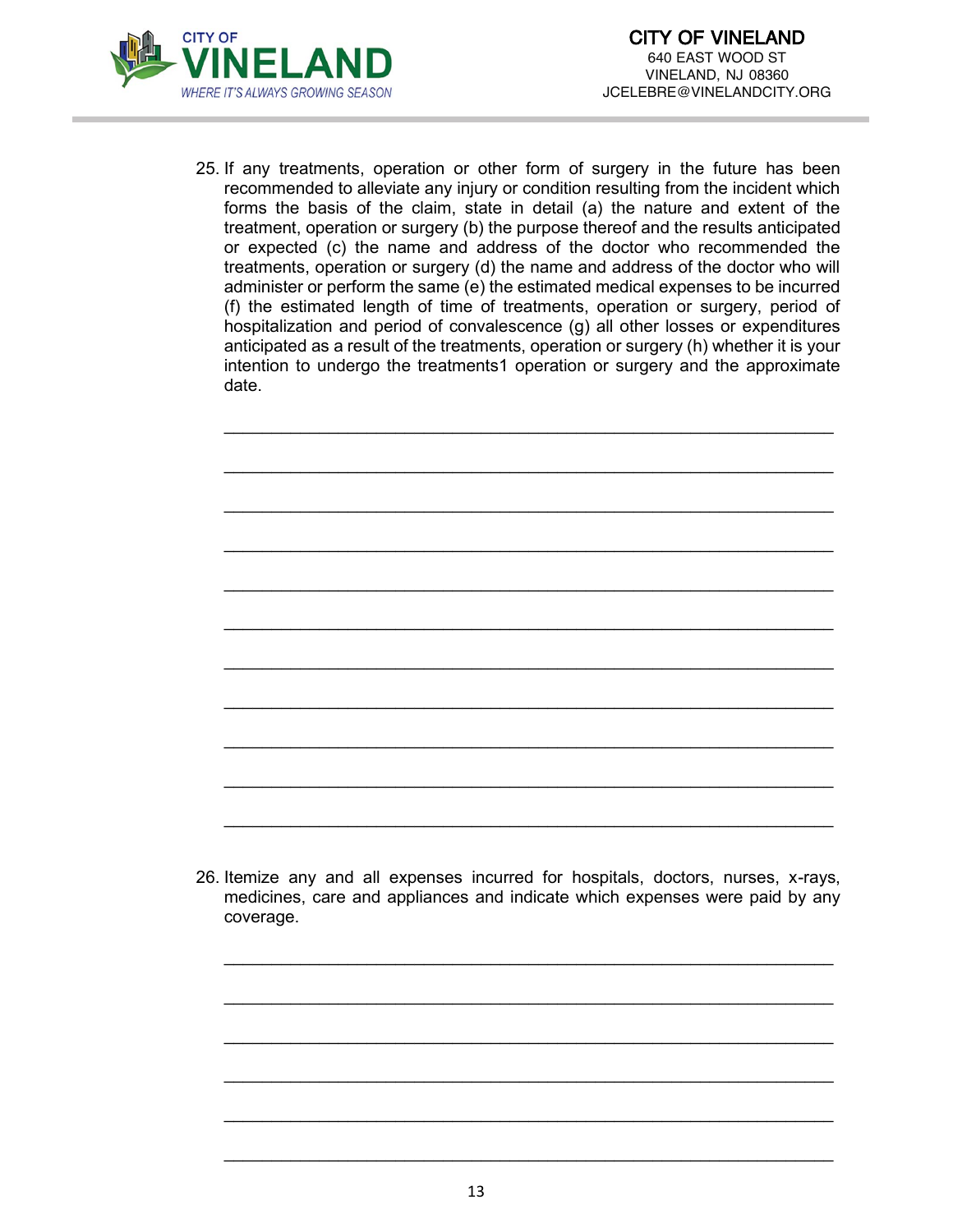

25. If any treatments, operation or other form of surgery in the future has been recommended to alleviate any injury or condition resulting from the incident which forms the basis of the claim, state in detail (a) the nature and extent of the treatment, operation or surgery (b) the purpose thereof and the results anticipated or expected (c) the name and address of the doctor who recommended the treatments, operation or surgery (d) the name and address of the doctor who will administer or perform the same (e) the estimated medical expenses to be incurred (f) the estimated length of time of treatments, operation or surgery, period of hospitalization and period of convalescence (g) all other losses or expenditures anticipated as a result of the treatments, operation or surgery (h) whether it is your intention to undergo the treatments1 operation or surgery and the approximate date.

\_\_\_\_\_\_\_\_\_\_\_\_\_\_\_\_\_\_\_\_\_\_\_\_\_\_\_\_\_\_\_\_\_\_\_\_\_\_\_\_\_\_\_\_\_\_\_\_\_\_\_\_\_\_\_\_\_\_\_\_\_\_\_\_

\_\_\_\_\_\_\_\_\_\_\_\_\_\_\_\_\_\_\_\_\_\_\_\_\_\_\_\_\_\_\_\_\_\_\_\_\_\_\_\_\_\_\_\_\_\_\_\_\_\_\_\_\_\_\_\_\_\_\_\_\_\_\_\_

\_\_\_\_\_\_\_\_\_\_\_\_\_\_\_\_\_\_\_\_\_\_\_\_\_\_\_\_\_\_\_\_\_\_\_\_\_\_\_\_\_\_\_\_\_\_\_\_\_\_\_\_\_\_\_\_\_\_\_\_\_\_\_\_

\_\_\_\_\_\_\_\_\_\_\_\_\_\_\_\_\_\_\_\_\_\_\_\_\_\_\_\_\_\_\_\_\_\_\_\_\_\_\_\_\_\_\_\_\_\_\_\_\_\_\_\_\_\_\_\_\_\_\_\_\_\_\_\_

\_\_\_\_\_\_\_\_\_\_\_\_\_\_\_\_\_\_\_\_\_\_\_\_\_\_\_\_\_\_\_\_\_\_\_\_\_\_\_\_\_\_\_\_\_\_\_\_\_\_\_\_\_\_\_\_\_\_\_\_\_\_\_\_

\_\_\_\_\_\_\_\_\_\_\_\_\_\_\_\_\_\_\_\_\_\_\_\_\_\_\_\_\_\_\_\_\_\_\_\_\_\_\_\_\_\_\_\_\_\_\_\_\_\_\_\_\_\_\_\_\_\_\_\_\_\_\_\_

\_\_\_\_\_\_\_\_\_\_\_\_\_\_\_\_\_\_\_\_\_\_\_\_\_\_\_\_\_\_\_\_\_\_\_\_\_\_\_\_\_\_\_\_\_\_\_\_\_\_\_\_\_\_\_\_\_\_\_\_\_\_\_\_

\_\_\_\_\_\_\_\_\_\_\_\_\_\_\_\_\_\_\_\_\_\_\_\_\_\_\_\_\_\_\_\_\_\_\_\_\_\_\_\_\_\_\_\_\_\_\_\_\_\_\_\_\_\_\_\_\_\_\_\_\_\_\_\_

\_\_\_\_\_\_\_\_\_\_\_\_\_\_\_\_\_\_\_\_\_\_\_\_\_\_\_\_\_\_\_\_\_\_\_\_\_\_\_\_\_\_\_\_\_\_\_\_\_\_\_\_\_\_\_\_\_\_\_\_\_\_\_\_

\_\_\_\_\_\_\_\_\_\_\_\_\_\_\_\_\_\_\_\_\_\_\_\_\_\_\_\_\_\_\_\_\_\_\_\_\_\_\_\_\_\_\_\_\_\_\_\_\_\_\_\_\_\_\_\_\_\_\_\_\_\_\_\_

\_\_\_\_\_\_\_\_\_\_\_\_\_\_\_\_\_\_\_\_\_\_\_\_\_\_\_\_\_\_\_\_\_\_\_\_\_\_\_\_\_\_\_\_\_\_\_\_\_\_\_\_\_\_\_\_\_\_\_\_\_\_\_\_

26. Itemize any and all expenses incurred for hospitals, doctors, nurses, x-rays, medicines, care and appliances and indicate which expenses were paid by any coverage.

\_\_\_\_\_\_\_\_\_\_\_\_\_\_\_\_\_\_\_\_\_\_\_\_\_\_\_\_\_\_\_\_\_\_\_\_\_\_\_\_\_\_\_\_\_\_\_\_\_\_\_\_\_\_\_\_\_\_\_\_\_\_\_\_

\_\_\_\_\_\_\_\_\_\_\_\_\_\_\_\_\_\_\_\_\_\_\_\_\_\_\_\_\_\_\_\_\_\_\_\_\_\_\_\_\_\_\_\_\_\_\_\_\_\_\_\_\_\_\_\_\_\_\_\_\_\_\_\_

\_\_\_\_\_\_\_\_\_\_\_\_\_\_\_\_\_\_\_\_\_\_\_\_\_\_\_\_\_\_\_\_\_\_\_\_\_\_\_\_\_\_\_\_\_\_\_\_\_\_\_\_\_\_\_\_\_\_\_\_\_\_\_\_

\_\_\_\_\_\_\_\_\_\_\_\_\_\_\_\_\_\_\_\_\_\_\_\_\_\_\_\_\_\_\_\_\_\_\_\_\_\_\_\_\_\_\_\_\_\_\_\_\_\_\_\_\_\_\_\_\_\_\_\_\_\_\_\_

\_\_\_\_\_\_\_\_\_\_\_\_\_\_\_\_\_\_\_\_\_\_\_\_\_\_\_\_\_\_\_\_\_\_\_\_\_\_\_\_\_\_\_\_\_\_\_\_\_\_\_\_\_\_\_\_\_\_\_\_\_\_\_\_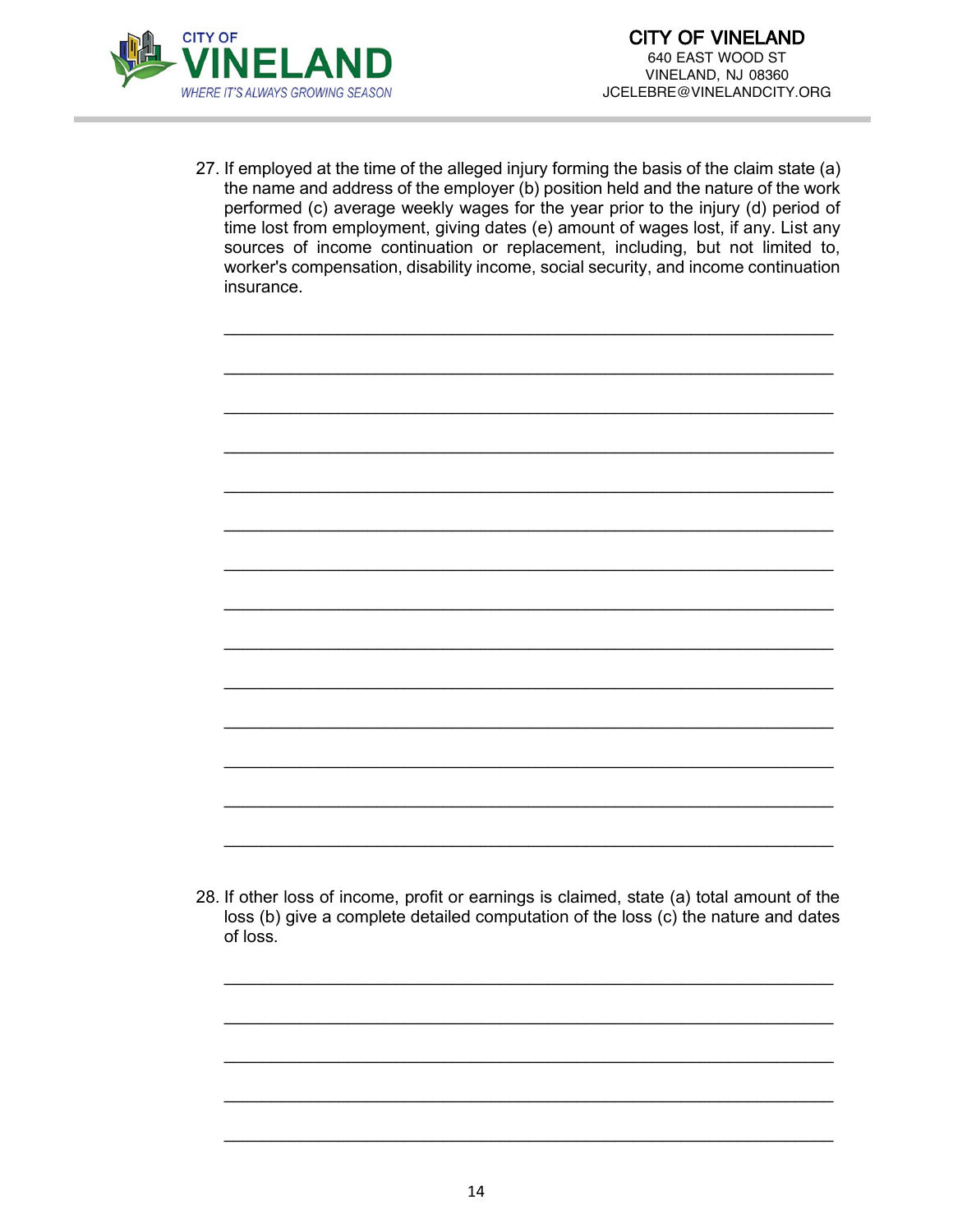

27. If employed at the time of the alleged injury forming the basis of the claim state (a) the name and address of the employer (b) position held and the nature of the work performed (c) average weekly wages for the year prior to the injury (d) period of time lost from employment, giving dates (e) amount of wages lost, if any. List any sources of income continuation or replacement, including, but not limited to, worker's compensation, disability income, social security, and income continuation insurance.

\_\_\_\_\_\_\_\_\_\_\_\_\_\_\_\_\_\_\_\_\_\_\_\_\_\_\_\_\_\_\_\_\_\_\_\_\_\_\_\_\_\_\_\_\_\_\_\_\_\_\_\_\_\_\_\_\_\_\_\_\_\_\_\_

\_\_\_\_\_\_\_\_\_\_\_\_\_\_\_\_\_\_\_\_\_\_\_\_\_\_\_\_\_\_\_\_\_\_\_\_\_\_\_\_\_\_\_\_\_\_\_\_\_\_\_\_\_\_\_\_\_\_\_\_\_\_\_\_

\_\_\_\_\_\_\_\_\_\_\_\_\_\_\_\_\_\_\_\_\_\_\_\_\_\_\_\_\_\_\_\_\_\_\_\_\_\_\_\_\_\_\_\_\_\_\_\_\_\_\_\_\_\_\_\_\_\_\_\_\_\_\_\_

\_\_\_\_\_\_\_\_\_\_\_\_\_\_\_\_\_\_\_\_\_\_\_\_\_\_\_\_\_\_\_\_\_\_\_\_\_\_\_\_\_\_\_\_\_\_\_\_\_\_\_\_\_\_\_\_\_\_\_\_\_\_\_\_

\_\_\_\_\_\_\_\_\_\_\_\_\_\_\_\_\_\_\_\_\_\_\_\_\_\_\_\_\_\_\_\_\_\_\_\_\_\_\_\_\_\_\_\_\_\_\_\_\_\_\_\_\_\_\_\_\_\_\_\_\_\_\_\_

\_\_\_\_\_\_\_\_\_\_\_\_\_\_\_\_\_\_\_\_\_\_\_\_\_\_\_\_\_\_\_\_\_\_\_\_\_\_\_\_\_\_\_\_\_\_\_\_\_\_\_\_\_\_\_\_\_\_\_\_\_\_\_\_

\_\_\_\_\_\_\_\_\_\_\_\_\_\_\_\_\_\_\_\_\_\_\_\_\_\_\_\_\_\_\_\_\_\_\_\_\_\_\_\_\_\_\_\_\_\_\_\_\_\_\_\_\_\_\_\_\_\_\_\_\_\_\_\_

\_\_\_\_\_\_\_\_\_\_\_\_\_\_\_\_\_\_\_\_\_\_\_\_\_\_\_\_\_\_\_\_\_\_\_\_\_\_\_\_\_\_\_\_\_\_\_\_\_\_\_\_\_\_\_\_\_\_\_\_\_\_\_\_

\_\_\_\_\_\_\_\_\_\_\_\_\_\_\_\_\_\_\_\_\_\_\_\_\_\_\_\_\_\_\_\_\_\_\_\_\_\_\_\_\_\_\_\_\_\_\_\_\_\_\_\_\_\_\_\_\_\_\_\_\_\_\_\_

\_\_\_\_\_\_\_\_\_\_\_\_\_\_\_\_\_\_\_\_\_\_\_\_\_\_\_\_\_\_\_\_\_\_\_\_\_\_\_\_\_\_\_\_\_\_\_\_\_\_\_\_\_\_\_\_\_\_\_\_\_\_\_\_

\_\_\_\_\_\_\_\_\_\_\_\_\_\_\_\_\_\_\_\_\_\_\_\_\_\_\_\_\_\_\_\_\_\_\_\_\_\_\_\_\_\_\_\_\_\_\_\_\_\_\_\_\_\_\_\_\_\_\_\_\_\_\_\_

\_\_\_\_\_\_\_\_\_\_\_\_\_\_\_\_\_\_\_\_\_\_\_\_\_\_\_\_\_\_\_\_\_\_\_\_\_\_\_\_\_\_\_\_\_\_\_\_\_\_\_\_\_\_\_\_\_\_\_\_\_\_\_\_

\_\_\_\_\_\_\_\_\_\_\_\_\_\_\_\_\_\_\_\_\_\_\_\_\_\_\_\_\_\_\_\_\_\_\_\_\_\_\_\_\_\_\_\_\_\_\_\_\_\_\_\_\_\_\_\_\_\_\_\_\_\_\_\_

\_\_\_\_\_\_\_\_\_\_\_\_\_\_\_\_\_\_\_\_\_\_\_\_\_\_\_\_\_\_\_\_\_\_\_\_\_\_\_\_\_\_\_\_\_\_\_\_\_\_\_\_\_\_\_\_\_\_\_\_\_\_\_\_



\_\_\_\_\_\_\_\_\_\_\_\_\_\_\_\_\_\_\_\_\_\_\_\_\_\_\_\_\_\_\_\_\_\_\_\_\_\_\_\_\_\_\_\_\_\_\_\_\_\_\_\_\_\_\_\_\_\_\_\_\_\_\_\_

\_\_\_\_\_\_\_\_\_\_\_\_\_\_\_\_\_\_\_\_\_\_\_\_\_\_\_\_\_\_\_\_\_\_\_\_\_\_\_\_\_\_\_\_\_\_\_\_\_\_\_\_\_\_\_\_\_\_\_\_\_\_\_\_

\_\_\_\_\_\_\_\_\_\_\_\_\_\_\_\_\_\_\_\_\_\_\_\_\_\_\_\_\_\_\_\_\_\_\_\_\_\_\_\_\_\_\_\_\_\_\_\_\_\_\_\_\_\_\_\_\_\_\_\_\_\_\_\_

\_\_\_\_\_\_\_\_\_\_\_\_\_\_\_\_\_\_\_\_\_\_\_\_\_\_\_\_\_\_\_\_\_\_\_\_\_\_\_\_\_\_\_\_\_\_\_\_\_\_\_\_\_\_\_\_\_\_\_\_\_\_\_\_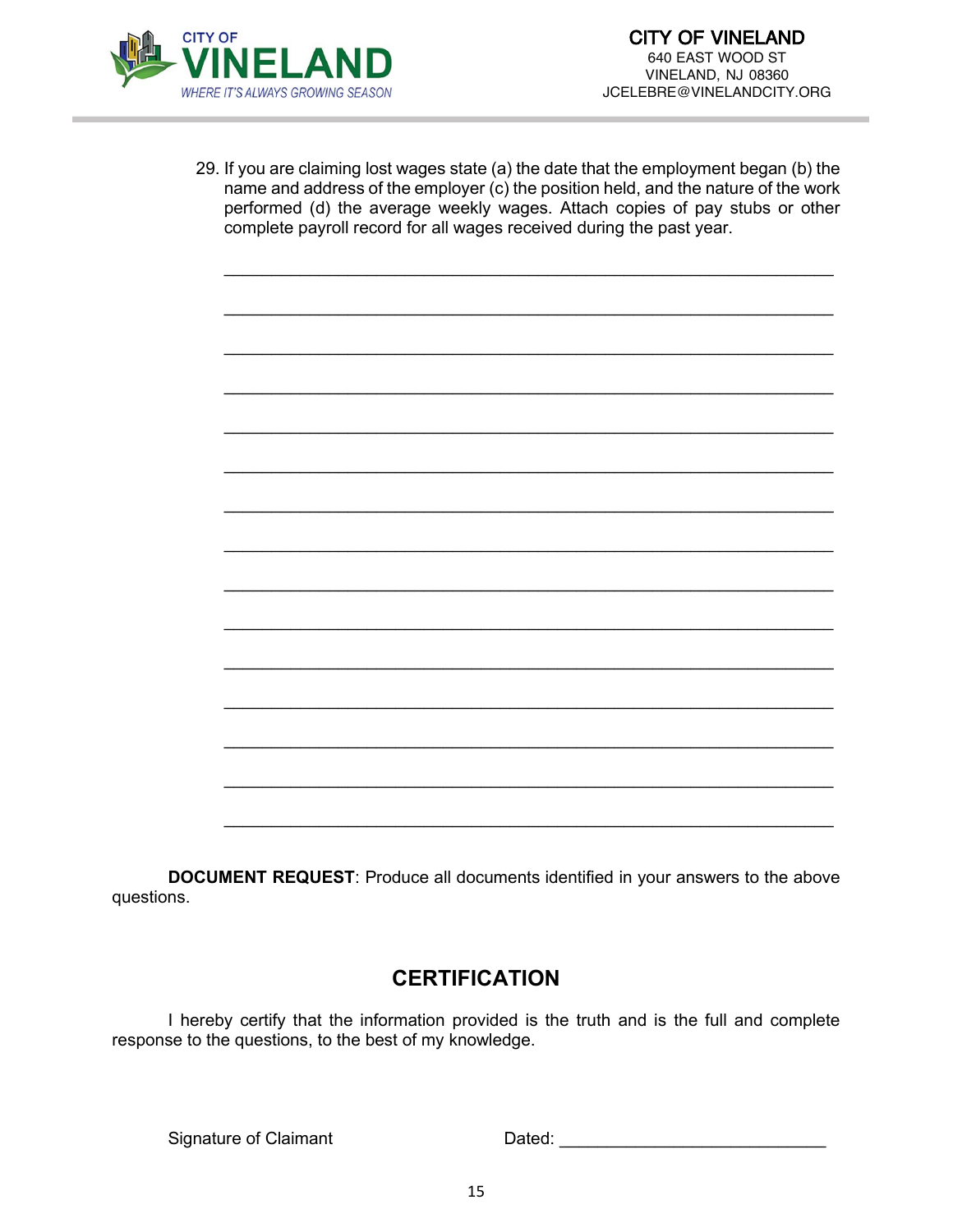

29. If you are claiming lost wages state (a) the date that the employment began (b) the name and address of the employer (c) the position held, and the nature of the work performed (d) the average weekly wages. Attach copies of pay stubs or other complete payroll record for all wages received during the past year.

\_\_\_\_\_\_\_\_\_\_\_\_\_\_\_\_\_\_\_\_\_\_\_\_\_\_\_\_\_\_\_\_\_\_\_\_\_\_\_\_\_\_\_\_\_\_\_\_\_\_\_\_\_\_\_\_\_\_\_\_\_\_\_\_

\_\_\_\_\_\_\_\_\_\_\_\_\_\_\_\_\_\_\_\_\_\_\_\_\_\_\_\_\_\_\_\_\_\_\_\_\_\_\_\_\_\_\_\_\_\_\_\_\_\_\_\_\_\_\_\_\_\_\_\_\_\_\_\_

\_\_\_\_\_\_\_\_\_\_\_\_\_\_\_\_\_\_\_\_\_\_\_\_\_\_\_\_\_\_\_\_\_\_\_\_\_\_\_\_\_\_\_\_\_\_\_\_\_\_\_\_\_\_\_\_\_\_\_\_\_\_\_\_

\_\_\_\_\_\_\_\_\_\_\_\_\_\_\_\_\_\_\_\_\_\_\_\_\_\_\_\_\_\_\_\_\_\_\_\_\_\_\_\_\_\_\_\_\_\_\_\_\_\_\_\_\_\_\_\_\_\_\_\_\_\_\_\_

\_\_\_\_\_\_\_\_\_\_\_\_\_\_\_\_\_\_\_\_\_\_\_\_\_\_\_\_\_\_\_\_\_\_\_\_\_\_\_\_\_\_\_\_\_\_\_\_\_\_\_\_\_\_\_\_\_\_\_\_\_\_\_\_

\_\_\_\_\_\_\_\_\_\_\_\_\_\_\_\_\_\_\_\_\_\_\_\_\_\_\_\_\_\_\_\_\_\_\_\_\_\_\_\_\_\_\_\_\_\_\_\_\_\_\_\_\_\_\_\_\_\_\_\_\_\_\_\_

\_\_\_\_\_\_\_\_\_\_\_\_\_\_\_\_\_\_\_\_\_\_\_\_\_\_\_\_\_\_\_\_\_\_\_\_\_\_\_\_\_\_\_\_\_\_\_\_\_\_\_\_\_\_\_\_\_\_\_\_\_\_\_\_

\_\_\_\_\_\_\_\_\_\_\_\_\_\_\_\_\_\_\_\_\_\_\_\_\_\_\_\_\_\_\_\_\_\_\_\_\_\_\_\_\_\_\_\_\_\_\_\_\_\_\_\_\_\_\_\_\_\_\_\_\_\_\_\_

\_\_\_\_\_\_\_\_\_\_\_\_\_\_\_\_\_\_\_\_\_\_\_\_\_\_\_\_\_\_\_\_\_\_\_\_\_\_\_\_\_\_\_\_\_\_\_\_\_\_\_\_\_\_\_\_\_\_\_\_\_\_\_\_

\_\_\_\_\_\_\_\_\_\_\_\_\_\_\_\_\_\_\_\_\_\_\_\_\_\_\_\_\_\_\_\_\_\_\_\_\_\_\_\_\_\_\_\_\_\_\_\_\_\_\_\_\_\_\_\_\_\_\_\_\_\_\_\_

\_\_\_\_\_\_\_\_\_\_\_\_\_\_\_\_\_\_\_\_\_\_\_\_\_\_\_\_\_\_\_\_\_\_\_\_\_\_\_\_\_\_\_\_\_\_\_\_\_\_\_\_\_\_\_\_\_\_\_\_\_\_\_\_

\_\_\_\_\_\_\_\_\_\_\_\_\_\_\_\_\_\_\_\_\_\_\_\_\_\_\_\_\_\_\_\_\_\_\_\_\_\_\_\_\_\_\_\_\_\_\_\_\_\_\_\_\_\_\_\_\_\_\_\_\_\_\_\_

\_\_\_\_\_\_\_\_\_\_\_\_\_\_\_\_\_\_\_\_\_\_\_\_\_\_\_\_\_\_\_\_\_\_\_\_\_\_\_\_\_\_\_\_\_\_\_\_\_\_\_\_\_\_\_\_\_\_\_\_\_\_\_\_

\_\_\_\_\_\_\_\_\_\_\_\_\_\_\_\_\_\_\_\_\_\_\_\_\_\_\_\_\_\_\_\_\_\_\_\_\_\_\_\_\_\_\_\_\_\_\_\_\_\_\_\_\_\_\_\_\_\_\_\_\_\_\_\_

\_\_\_\_\_\_\_\_\_\_\_\_\_\_\_\_\_\_\_\_\_\_\_\_\_\_\_\_\_\_\_\_\_\_\_\_\_\_\_\_\_\_\_\_\_\_\_\_\_\_\_\_\_\_\_\_\_\_\_\_\_\_\_\_

**DOCUMENT REQUEST**: Produce all documents identified in your answers to the above questions.

## **CERTIFICATION**

I hereby certify that the information provided is the truth and is the full and complete response to the questions, to the best of my knowledge.

Signature of Claimant Dated: Dated: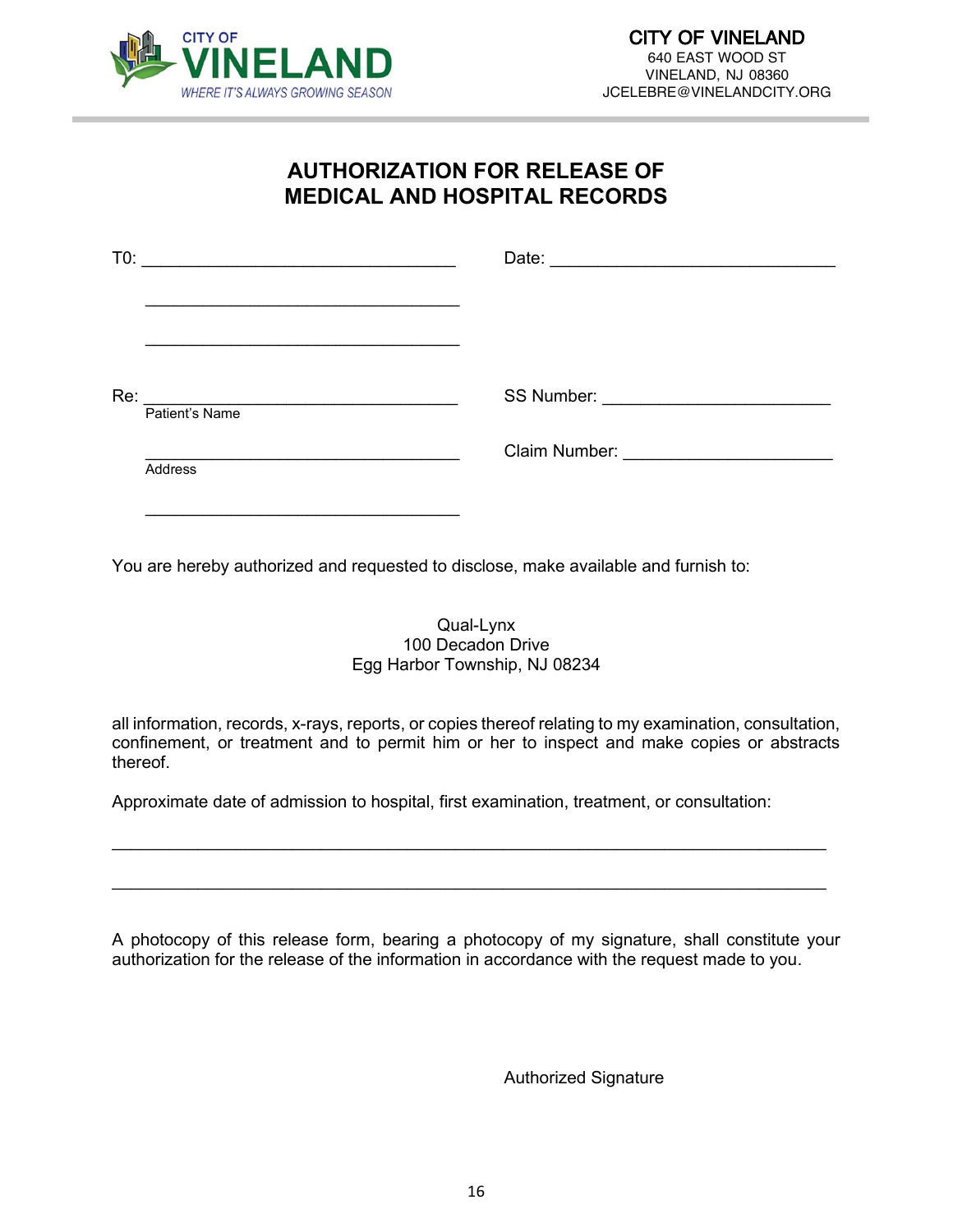

## **AUTHORIZATION FOR RELEASE OF MEDICAL AND HOSPITAL RECORDS**

| T0: | <u> 1989 - Johann Barbara, martxa alemaniar a</u> |  |
|-----|---------------------------------------------------|--|
|     |                                                   |  |
| Re: | Patient's Name                                    |  |
|     | Address                                           |  |
|     |                                                   |  |

You are hereby authorized and requested to disclose, make available and furnish to:

### Qual-Lynx 100 Decadon Drive Egg Harbor Township, NJ 08234

all information, records, x-rays, reports, or copies thereof relating to my examination, consultation, confinement, or treatment and to permit him or her to inspect and make copies or abstracts thereof.

\_\_\_\_\_\_\_\_\_\_\_\_\_\_\_\_\_\_\_\_\_\_\_\_\_\_\_\_\_\_\_\_\_\_\_\_\_\_\_\_\_\_\_\_\_\_\_\_\_\_\_\_\_\_\_\_\_\_\_\_\_\_\_\_\_\_\_\_\_\_\_\_\_\_\_

\_\_\_\_\_\_\_\_\_\_\_\_\_\_\_\_\_\_\_\_\_\_\_\_\_\_\_\_\_\_\_\_\_\_\_\_\_\_\_\_\_\_\_\_\_\_\_\_\_\_\_\_\_\_\_\_\_\_\_\_\_\_\_\_\_\_\_\_\_\_\_\_\_\_\_

Approximate date of admission to hospital, first examination, treatment, or consultation:

A photocopy of this release form, bearing a photocopy of my signature, shall constitute your authorization for the release of the information in accordance with the request made to you.

Authorized Signature